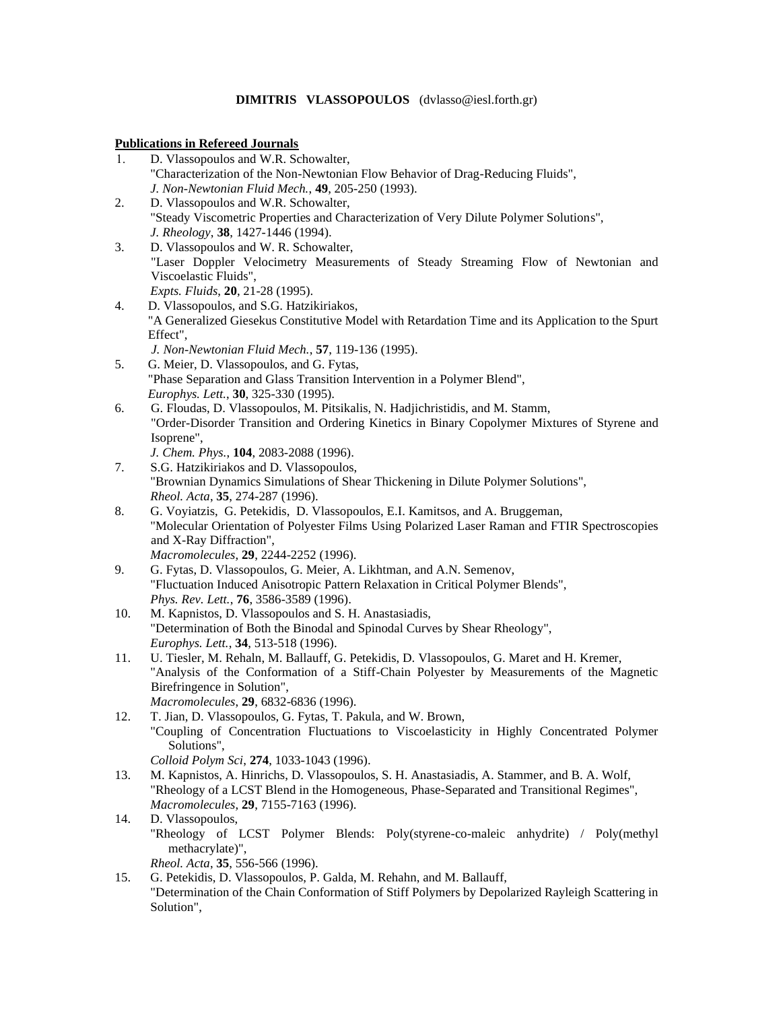# **DIMITRIS VLASSOPOULOS** (dvlasso@iesl.forth.gr)

#### **Publications in Refereed Journals**

|     | <b>Publications in Refereed Journals</b>                                                                           |
|-----|--------------------------------------------------------------------------------------------------------------------|
| 1.  | D. Vlassopoulos and W.R. Schowalter,                                                                               |
|     | "Characterization of the Non-Newtonian Flow Behavior of Drag-Reducing Fluids",                                     |
|     | J. Non-Newtonian Fluid Mech., 49, 205-250 (1993).                                                                  |
| 2.  | D. Vlassopoulos and W.R. Schowalter,                                                                               |
|     | "Steady Viscometric Properties and Characterization of Very Dilute Polymer Solutions",                             |
|     | J. Rheology, 38, 1427-1446 (1994).                                                                                 |
| 3.  | D. Vlassopoulos and W. R. Schowalter,                                                                              |
|     | "Laser Doppler Velocimetry Measurements of Steady Streaming Flow of Newtonian and                                  |
|     | Viscoelastic Fluids",                                                                                              |
|     | Expts. Fluids, 20, 21-28 (1995).                                                                                   |
| 4.  | D. Vlassopoulos, and S.G. Hatzikiriakos,                                                                           |
|     | "A Generalized Giesekus Constitutive Model with Retardation Time and its Application to the Spurt                  |
|     | Effect",                                                                                                           |
|     | J. Non-Newtonian Fluid Mech., 57, 119-136 (1995).                                                                  |
| 5.  | G. Meier, D. Vlassopoulos, and G. Fytas,                                                                           |
|     | "Phase Separation and Glass Transition Intervention in a Polymer Blend",                                           |
|     | Europhys. Lett., 30, 325-330 (1995).                                                                               |
| 6.  | G. Floudas, D. Vlassopoulos, M. Pitsikalis, N. Hadjichristidis, and M. Stamm,                                      |
|     | "Order-Disorder Transition and Ordering Kinetics in Binary Copolymer Mixtures of Styrene and                       |
|     | Isoprene",                                                                                                         |
|     | J. Chem. Phys., 104, 2083-2088 (1996).                                                                             |
| 7.  | S.G. Hatzikiriakos and D. Vlassopoulos,                                                                            |
|     | "Brownian Dynamics Simulations of Shear Thickening in Dilute Polymer Solutions",                                   |
|     | Rheol. Acta, 35, 274-287 (1996).                                                                                   |
| 8.  | G. Voyiatzis, G. Petekidis, D. Vlassopoulos, E.I. Kamitsos, and A. Bruggeman,                                      |
|     | "Molecular Orientation of Polyester Films Using Polarized Laser Raman and FTIR Spectroscopies                      |
|     | and X-Ray Diffraction",                                                                                            |
|     | Macromolecules, 29, 2244-2252 (1996).                                                                              |
| 9.  | G. Fytas, D. Vlassopoulos, G. Meier, A. Likhtman, and A.N. Semenov,                                                |
|     | "Fluctuation Induced Anisotropic Pattern Relaxation in Critical Polymer Blends",                                   |
|     | Phys. Rev. Lett., 76, 3586-3589 (1996).                                                                            |
| 10. | M. Kapnistos, D. Vlassopoulos and S. H. Anastasiadis,                                                              |
|     | "Determination of Both the Binodal and Spinodal Curves by Shear Rheology",<br>Europhys. Lett., 34, 513-518 (1996). |
| 11. | U. Tiesler, M. Rehaln, M. Ballauff, G. Petekidis, D. Vlassopoulos, G. Maret and H. Kremer,                         |
|     | "Analysis of the Conformation of a Stiff-Chain Polyester by Measurements of the Magnetic                           |
|     | Birefringence in Solution",                                                                                        |
|     | Macromolecules, 29, 6832-6836 (1996).                                                                              |
| 12. | T. Jian, D. Vlassopoulos, G. Fytas, T. Pakula, and W. Brown,                                                       |
|     | "Coupling of Concentration Fluctuations to Viscoelasticity in Highly Concentrated Polymer                          |
|     | Solutions",                                                                                                        |
|     | Colloid Polym Sci, 274, 1033-1043 (1996).                                                                          |
| 13. | M. Kapnistos, A. Hinrichs, D. Vlassopoulos, S. H. Anastasiadis, A. Stammer, and B. A. Wolf,                        |
|     | "Rheology of a LCST Blend in the Homogeneous, Phase-Separated and Transitional Regimes",                           |
|     | Macromolecules, 29, 7155-7163 (1996).                                                                              |
| 14. | D. Vlassopoulos,                                                                                                   |
|     |                                                                                                                    |

"Rheology of LCST Polymer Blends: Poly(styrene-co-maleic anhydrite) / Poly(methyl methacrylate)",

*Rheol. Acta*, **35**, 556-566 (1996).

15. G. Petekidis, D. Vlassopoulos, P. Galda, M. Rehahn, and M. Ballauff, "Determination of the Chain Conformation of Stiff Polymers by Depolarized Rayleigh Scattering in Solution",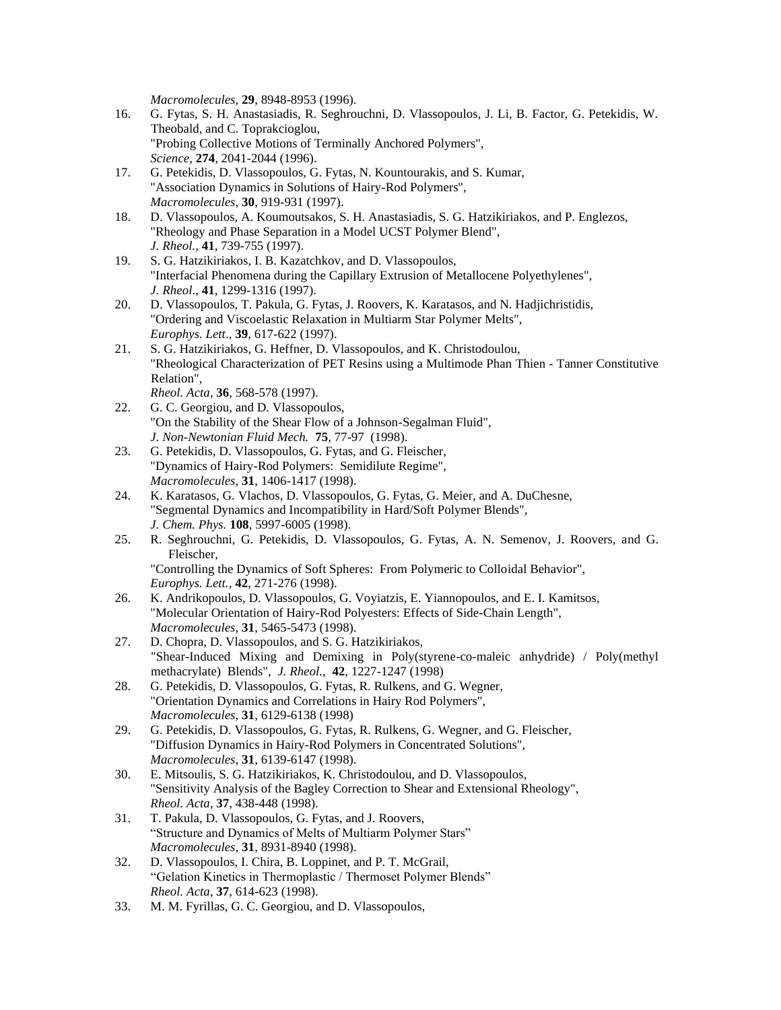*Macromolecules*, **29**, 8948-8953 (1996).

- 16. G. Fytas, S. H. Anastasiadis, R. Seghrouchni, D. Vlassopoulos, J. Li, B. Factor, G. Petekidis, W. Theobald, and C. Toprakcioglou, "Probing Collective Motions of Terminally Anchored Polymers", *Science*, **274**, 2041-2044 (1996).
- 17. G. Petekidis, D. Vlassopoulos, G. Fytas, N. Kountourakis, and S. Kumar, "Association Dynamics in Solutions of Hairy-Rod Polymers", *Macromolecules*, **30**, 919-931 (1997).
- 18. D. Vlassopoulos, A. Koumoutsakos, S. H. Anastasiadis, S. G. Hatzikiriakos, and P. Englezos, "Rheology and Phase Separation in a Model UCST Polymer Blend", *J. Rheol.*, **41**, 739-755 (1997).
- 19. S. G. Hatzikiriakos, I. B. Kazatchkov, and D. Vlassopoulos, "Interfacial Phenomena during the Capillary Extrusion of Metallocene Polyethylenes", *J. Rheol*., **41**, 1299-1316 (1997).
- 20. D. Vlassopoulos, T. Pakula, G. Fytas, J. Roovers, K. Karatasos, and N. Hadjichristidis, "Ordering and Viscoelastic Relaxation in Multiarm Star Polymer Melts", *Europhys. Lett*., **39**, 617-622 (1997).
- 21. S. G. Hatzikiriakos, G. Heffner, D. Vlassopoulos, and K. Christodoulou, "Rheological Characterization of PET Resins using a Multimode Phan Thien - Tanner Constitutive Relation", *Rheol. Acta*, **36**, 568-578 (1997).
- 22. G. C. Georgiou, and D. Vlassopoulos, "On the Stability of the Shear Flow of a Johnson-Segalman Fluid", *J. Non-Newtonian Fluid Mech.* **75**, 77-97 (1998).
- 23. G. Petekidis, D. Vlassopoulos, G. Fytas, and G. Fleischer, "Dynamics of Hairy-Rod Polymers: Semidilute Regime", *Macromolecules,* **31**, 1406-1417 (1998).
- 24. K. Karatasos, G. Vlachos, D. Vlassopoulos, G. Fytas, G. Meier, and A. DuChesne, "Segmental Dynamics and Incompatibility in Hard/Soft Polymer Blends", *J. Chem. Phys.* **108**, 5997-6005 (1998).
- 25. R. Seghrouchni, G. Petekidis, D. Vlassopoulos, G. Fytas, A. N. Semenov, J. Roovers, and G. Fleischer,

"Controlling the Dynamics of Soft Spheres: From Polymeric to Colloidal Behavior", *Europhys. Lett.*, **42**, 271-276 (1998).

- 26. K. Andrikopoulos, D. Vlassopoulos, G. Voyiatzis, E. Yiannopoulos, and E. I. Kamitsos, "Molecular Orientation of Hairy-Rod Polyesters: Effects of Side-Chain Length", *Macromolecules*, **31**, 5465-5473 (1998).
- 27. D. Chopra, D. Vlassopoulos, and S. G. Hatzikiriakos, "Shear-Induced Mixing and Demixing in Poly(styrene-co-maleic anhydride) / Poly(methyl methacrylate) Blends", *J. Rheol.*, **42**, 1227-1247 (1998)
- 28. G. Petekidis, D. Vlassopoulos, G. Fytas, R. Rulkens, and G. Wegner, "Orientation Dynamics and Correlations in Hairy Rod Polymers", *Macromolecules*, **31**, 6129-6138 (1998)
- 29. G. Petekidis, D. Vlassopoulos, G. Fytas, R. Rulkens, G. Wegner, and G. Fleischer, "Diffusion Dynamics in Hairy-Rod Polymers in Concentrated Solutions", *Macromolecules*, **31**, 6139-6147 (1998).
- 30. E. Mitsoulis, S. G. Hatzikiriakos, K. Christodoulou, and D. Vlassopoulos, "Sensitivity Analysis of the Bagley Correction to Shear and Extensional Rheology", *Rheol. Acta*, **37**, 438-448 (1998).
- 31. T. Pakula, D. Vlassopoulos, G. Fytas, and J. Roovers, "Structure and Dynamics of Melts of Multiarm Polymer Stars" *Macromolecules*, **31**, 8931-8940 (1998).
- 32. D. Vlassopoulos, I. Chira, B. Loppinet, and P. T. McGrail, "Gelation Kinetics in Thermoplastic / Thermoset Polymer Blends" *Rheol. Acta*, **37**, 614-623 (1998).
- 33. M. M. Fyrillas, G. C. Georgiou, and D. Vlassopoulos,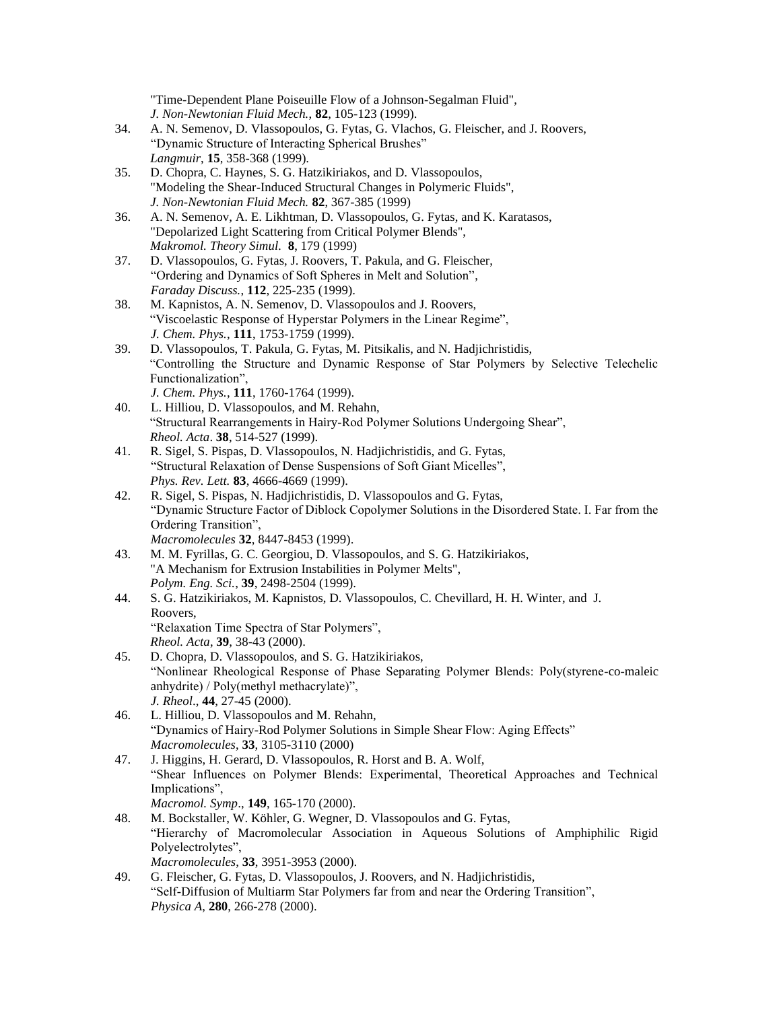"Time-Dependent Plane Poiseuille Flow of a Johnson-Segalman Fluid", *J. Non-Newtonian Fluid Mech.*, **82**, 105-123 (1999).

- 34. A. N. Semenov, D. Vlassopoulos, G. Fytas, G. Vlachos, G. Fleischer, and J. Roovers, "Dynamic Structure of Interacting Spherical Brushes" *Langmuir*, **15**, 358-368 (1999).
- 35. D. Chopra, C. Haynes, S. G. Hatzikiriakos, and D. Vlassopoulos, "Modeling the Shear-Induced Structural Changes in Polymeric Fluids", *J. Non-Newtonian Fluid Mech.* **82**, 367-385 (1999)
- 36. A. N. Semenov, A. E. Likhtman, D. Vlassopoulos, G. Fytas, and K. Karatasos, "Depolarized Light Scattering from Critical Polymer Blends", *Makromol. Theory Simul.* **8**, 179 (1999)
- 37. D. Vlassopoulos, G. Fytas, J. Roovers, T. Pakula, and G. Fleischer, "Ordering and Dynamics of Soft Spheres in Melt and Solution", *Faraday Discuss.*, **112**, 225-235 (1999).
- 38. M. Kapnistos, A. N. Semenov, D. Vlassopoulos and J. Roovers, "Viscoelastic Response of Hyperstar Polymers in the Linear Regime", *J. Chem. Phys.*, **111**, 1753-1759 (1999).
- 39. D. Vlassopoulos, T. Pakula, G. Fytas, M. Pitsikalis, and N. Hadjichristidis, "Controlling the Structure and Dynamic Response of Star Polymers by Selective Telechelic Functionalization",

*J. Chem. Phys.*, **111**, 1760-1764 (1999).

- 40. L. Hilliou, D. Vlassopoulos, and M. Rehahn, "Structural Rearrangements in Hairy-Rod Polymer Solutions Undergoing Shear", *Rheol. Acta*. **38**, 514-527 (1999).
- 41. R. Sigel, S. Pispas, D. Vlassopoulos, N. Hadjichristidis, and G. Fytas, "Structural Relaxation of Dense Suspensions of Soft Giant Micelles", *Phys. Rev. Lett.* **83**, 4666-4669 (1999).
- 42. R. Sigel, S. Pispas, N. Hadjichristidis, D. Vlassopoulos and G. Fytas, "Dynamic Structure Factor of Diblock Copolymer Solutions in the Disordered State. I. Far from the Ordering Transition", *Macromolecules* **32**, 8447-8453 (1999).
- 43. M. M. Fyrillas, G. C. Georgiou, D. Vlassopoulos, and S. G. Hatzikiriakos, "A Mechanism for Extrusion Instabilities in Polymer Melts", *Polym. Eng. Sci.*, **39**, 2498-2504 (1999).
- 44. S. G. Hatzikiriakos, M. Kapnistos, D. Vlassopoulos, C. Chevillard, H. H. Winter, and J. Roovers, "Relaxation Time Spectra of Star Polymers", *Rheol. Acta*, **39**, 38-43 (2000).
- 45. D. Chopra, D. Vlassopoulos, and S. G. Hatzikiriakos, "Nonlinear Rheological Response of Phase Separating Polymer Blends: Poly(styrene-co-maleic anhydrite) / Poly(methyl methacrylate)", *J. Rheol*., **44**, 27-45 (2000).
- 46. L. Hilliou, D. Vlassopoulos and M. Rehahn, "Dynamics of Hairy-Rod Polymer Solutions in Simple Shear Flow: Aging Effects" *Macromolecules*, **33**, 3105-3110 (2000)
- 47. J. Higgins, H. Gerard, D. Vlassopoulos, R. Horst and B. A. Wolf, "Shear Influences on Polymer Blends: Experimental, Theoretical Approaches and Technical Implications", *Macromol. Symp*., **149**, 165-170 (2000).
- 48. M. Bockstaller, W. Köhler, G. Wegner, D. Vlassopoulos and G. Fytas, "Hierarchy of Macromolecular Association in Aqueous Solutions of Amphiphilic Rigid Polyelectrolytes", *Macromolecules*, **33**, 3951-3953 (2000).
- 49. G. Fleischer, G. Fytas, D. Vlassopoulos, J. Roovers, and N. Hadjichristidis, "Self-Diffusion of Multiarm Star Polymers far from and near the Ordering Transition", *Physica A*, **280**, 266-278 (2000).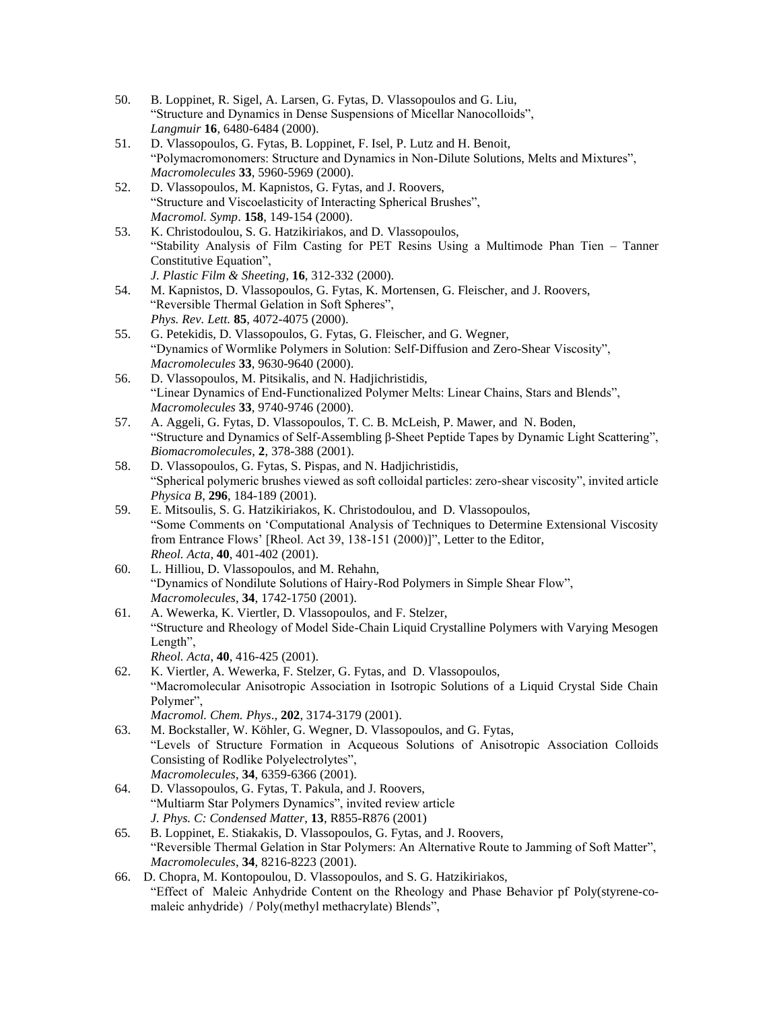- 50. B. Loppinet, R. Sigel, A. Larsen, G. Fytas, D. Vlassopoulos and G. Liu, "Structure and Dynamics in Dense Suspensions of Micellar Nanocolloids", *Langmuir* **16**, 6480-6484 (2000).
- 51. D. Vlassopoulos, G. Fytas, B. Loppinet, F. Isel, P. Lutz and H. Benoit, "Polymacromonomers: Structure and Dynamics in Non-Dilute Solutions, Melts and Mixtures", *Macromolecules* **33**, 5960-5969 (2000).
- 52. D. Vlassopoulos, M. Kapnistos, G. Fytas, and J. Roovers, "Structure and Viscoelasticity of Interacting Spherical Brushes", *Macromol. Symp*. **158**, 149-154 (2000).
- 53. K. Christodoulou, S. G. Hatzikiriakos, and D. Vlassopoulos, "Stability Analysis of Film Casting for PET Resins Using a Multimode Phan Tien – Tanner Constitutive Equation", *J. Plastic Film & Sheeting*, **16**, 312-332 (2000).
- 54. M. Kapnistos, D. Vlassopoulos, G. Fytas, K. Mortensen, G. Fleischer, and J. Roovers, "Reversible Thermal Gelation in Soft Spheres", *Phys. Rev. Lett.* **85**, 4072-4075 (2000).
- 55. G. Petekidis, D. Vlassopoulos, G. Fytas, G. Fleischer, and G. Wegner, "Dynamics of Wormlike Polymers in Solution: Self-Diffusion and Zero-Shear Viscosity", *Macromolecules* **33**, 9630-9640 (2000).
- 56. D. Vlassopoulos, M. Pitsikalis, and N. Hadjichristidis, "Linear Dynamics of End-Functionalized Polymer Melts: Linear Chains, Stars and Blends", *Macromolecules* **33**, 9740-9746 (2000).
- 57. A. Aggeli, G. Fytas, D. Vlassopoulos, T. C. B. McLeish, P. Mawer, and N. Boden, "Structure and Dynamics of Self-Assembling β-Sheet Peptide Tapes by Dynamic Light Scattering", *Biomacromolecules*, **2**, 378-388 (2001).
- 58. D. Vlassopoulos, G. Fytas, S. Pispas, and N. Hadjichristidis, "Spherical polymeric brushes viewed as soft colloidal particles: zero-shear viscosity", invited article *Physica B*, **296**, 184-189 (2001).
- 59. E. Mitsoulis, S. G. Hatzikiriakos, K. Christodoulou, and D. Vlassopoulos, "Some Comments on 'Computational Analysis of Techniques to Determine Extensional Viscosity from Entrance Flows' [Rheol. Act 39, 138-151 (2000)]", Letter to the Editor, *Rheol. Acta*, **40**, 401-402 (2001).
- 60. L. Hilliou, D. Vlassopoulos, and M. Rehahn, "Dynamics of Nondilute Solutions of Hairy-Rod Polymers in Simple Shear Flow", *Macromolecules*, **34**, 1742-1750 (2001).
- 61. A. Wewerka, K. Viertler, D. Vlassopoulos, and F. Stelzer, "Structure and Rheology of Model Side-Chain Liquid Crystalline Polymers with Varying Mesogen Length", *Rheol. Acta*, **40**, 416-425 (2001).
- 62. K. Viertler, A. Wewerka, F. Stelzer, G. Fytas, and D. Vlassopoulos, "Macromolecular Anisotropic Association in Isotropic Solutions of a Liquid Crystal Side Chain Polymer", *Macromol. Chem. Phys*., **202**, 3174-3179 (2001).
- 63. M. Bockstaller, W. Köhler, G. Wegner, D. Vlassopoulos, and G. Fytas, "Levels of Structure Formation in Acqueous Solutions of Anisotropic Association Colloids Consisting of Rodlike Polyelectrolytes", *Macromolecules*, **34**, 6359-6366 (2001).
- 64. D. Vlassopoulos, G. Fytas, T. Pakula, and J. Roovers, "Multiarm Star Polymers Dynamics", invited review article *J. Phys. C: Condensed Matter*, **13**, R855-R876 (2001)
- 65*.* B. Loppinet, E. Stiakakis, D. Vlassopoulos, G. Fytas, and J. Roovers, "Reversible Thermal Gelation in Star Polymers: An Alternative Route to Jamming of Soft Matter", *Macromolecules*, **34**, 8216-8223 (2001).
- 66. D. Chopra, M. Kontopoulou, D. Vlassopoulos, and S. G. Hatzikiriakos, "Effect of Maleic Anhydride Content on the Rheology and Phase Behavior pf Poly(styrene-comaleic anhydride) / Poly(methyl methacrylate) Blends",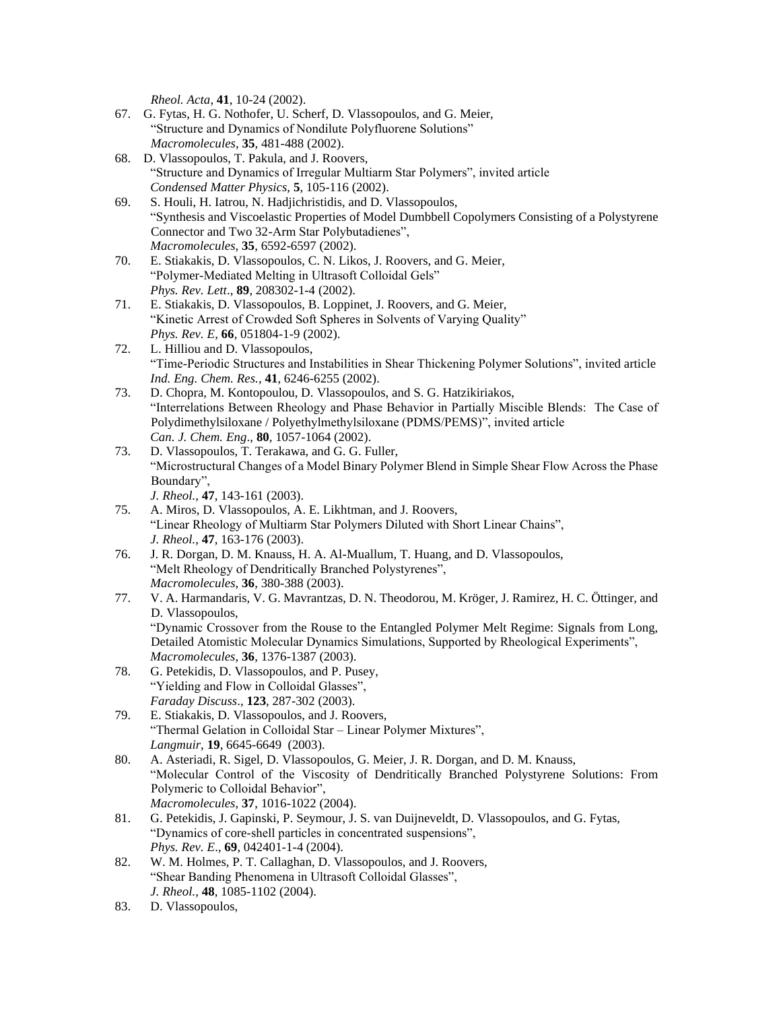*Rheol. Acta*, **41**, 10-24 (2002).

- 67. G. Fytas, H. G. Nothofer, U. Scherf, D. Vlassopoulos, and G. Meier, "Structure and Dynamics of Nondilute Polyfluorene Solutions" *Macromolecules*, **35**, 481-488 (2002).
- 68. D. Vlassopoulos, T. Pakula, and J. Roovers, "Structure and Dynamics of Irregular Multiarm Star Polymers", invited article *Condensed Matter Physics*, **5**, 105-116 (2002).
- 69. S. Houli, H. Iatrou, N. Hadjichristidis, and D. Vlassopoulos, "Synthesis and Viscoelastic Properties of Model Dumbbell Copolymers Consisting of a Polystyrene Connector and Two 32-Arm Star Polybutadienes", *Macromolecules*, **35**, 6592-6597 (2002).
- 70. E. Stiakakis, D. Vlassopoulos, C. N. Likos, J. Roovers, and G. Meier, "Polymer-Mediated Melting in Ultrasoft Colloidal Gels" *Phys. Rev. Lett*., **89**, 208302-1-4 (2002).
- 71. E. Stiakakis, D. Vlassopoulos, B. Loppinet, J. Roovers, and G. Meier, "Kinetic Arrest of Crowded Soft Spheres in Solvents of Varying Quality" *Phys. Rev. E*, **66**, 051804-1-9 (2002).
- 72. L. Hilliou and D. Vlassopoulos, "Time-Periodic Structures and Instabilities in Shear Thickening Polymer Solutions", invited article *Ind. Eng. Chem. Res.*, **41**, 6246-6255 (2002).
- 73. D. Chopra, M. Kontopoulou, D. Vlassopoulos, and S. G. Hatzikiriakos, "Interrelations Between Rheology and Phase Behavior in Partially Miscible Blends: The Case of Polydimethylsiloxane / Polyethylmethylsiloxane (PDMS/PEMS)", invited article *Can. J. Chem. Eng*., **80**, 1057-1064 (2002).
- 73. D. Vlassopoulos, T. Terakawa, and G. G. Fuller, "Microstructural Changes of a Model Binary Polymer Blend in Simple Shear Flow Across the Phase Boundary", *J. Rheol.*, **47**, 143-161 (2003).
- 75. A. Miros, D. Vlassopoulos, A. E. Likhtman, and J. Roovers, "Linear Rheology of Multiarm Star Polymers Diluted with Short Linear Chains", *J. Rheol.*, **47**, 163-176 (2003).
- 76. J. R. Dorgan, D. M. Knauss, H. A. Al-Muallum, T. Huang, and D. Vlassopoulos, "Melt Rheology of Dendritically Branched Polystyrenes", *Macromolecules*, **36**, 380-388 (2003).
- 77. V. A. Harmandaris, V. G. Mavrantzas, D. N. Theodorou, M. Kröger, J. Ramirez, H. C. Öttinger, and D. Vlassopoulos, "Dynamic Crossover from the Rouse to the Entangled Polymer Melt Regime: Signals from Long, Detailed Atomistic Molecular Dynamics Simulations, Supported by Rheological Experiments", *Macromolecules*, **36**, 1376-1387 (2003).
- 78. G. Petekidis, D. Vlassopoulos, and P. Pusey, "Yielding and Flow in Colloidal Glasses", *Faraday Discuss*., **123**, 287-302 (2003).
- 79. E. Stiakakis, D. Vlassopoulos, and J. Roovers, "Thermal Gelation in Colloidal Star – Linear Polymer Mixtures", *Langmuir*, **19**, 6645-6649 (2003).
- 80. A. Asteriadi, R. Sigel, D. Vlassopoulos, G. Meier, J. R. Dorgan, and D. M. Knauss, "Molecular Control of the Viscosity of Dendritically Branched Polystyrene Solutions: From Polymeric to Colloidal Behavior", *Macromolecules*, **37**, 1016-1022 (2004).
- 81. G. Petekidis, J. Gapinski, P. Seymour, J. S. van Duijneveldt, D. Vlassopoulos, and G. Fytas, "Dynamics of core-shell particles in concentrated suspensions", *Phys. Rev. E*., **69**, 042401-1-4 (2004).
- 82. W. M. Holmes, P. T. Callaghan, D. Vlassopoulos, and J. Roovers, "Shear Banding Phenomena in Ultrasoft Colloidal Glasses", *J. Rheol.*, **48**, 1085-1102 (2004).
- 83. D. Vlassopoulos,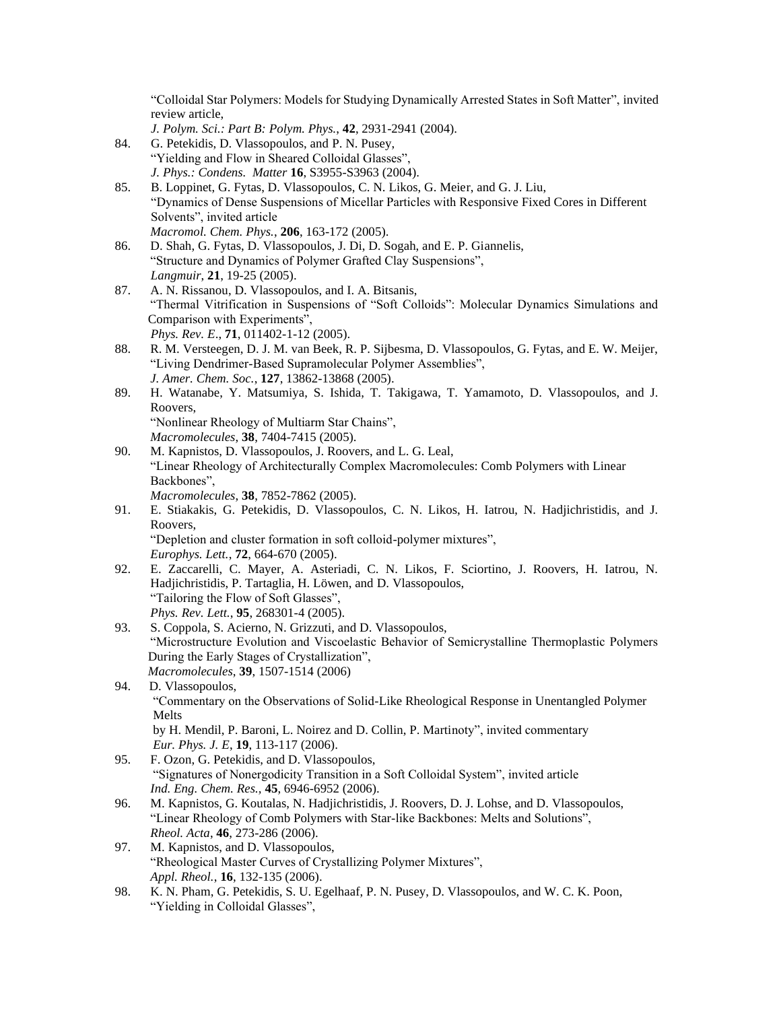"Colloidal Star Polymers: Models for Studying Dynamically Arrested States in Soft Matter", invited review article,

- *J. Polym. Sci.: Part B: Polym. Phys.*, **42**, 2931-2941 (2004). 84. G. Petekidis, D. Vlassopoulos, and P. N. Pusey, "Yielding and Flow in Sheared Colloidal Glasses",
	- *J. Phys.: Condens. Matter* **16**, S3955-S3963 (2004).
- 85. B. Loppinet, G. Fytas, D. Vlassopoulos, C. N. Likos, G. Meier, and G. J. Liu, "Dynamics of Dense Suspensions of Micellar Particles with Responsive Fixed Cores in Different Solvents", invited article *Macromol. Chem. Phys.*, **206**, 163-172 (2005).
- 86. D. Shah, G. Fytas, D. Vlassopoulos, J. Di, D. Sogah, and E. P. Giannelis, "Structure and Dynamics of Polymer Grafted Clay Suspensions", *Langmuir*, **21**, 19-25 (2005).
- 87. A. N. Rissanou, D. Vlassopoulos, and I. A. Bitsanis, "Thermal Vitrification in Suspensions of "Soft Colloids": Molecular Dynamics Simulations and Comparison with Experiments", *Phys. Rev. E*., **71**, 011402-1-12 (2005).
- 88. R. M. Versteegen, D. J. M. van Beek, R. P. Sijbesma, D. Vlassopoulos, G. Fytas, and E. W. Meijer, "Living Dendrimer-Based Supramolecular Polymer Assemblies", *J. Amer. Chem. Soc.*, **127**, 13862-13868 (2005).
- 89. H. Watanabe, Y. Matsumiya, S. Ishida, T. Takigawa, T. Yamamoto, D. Vlassopoulos, and J. Roovers, "Nonlinear Rheology of Multiarm Star Chains", *Macromolecules*, **38**, 7404-7415 (2005).
- 90. M. Kapnistos, D. Vlassopoulos, J. Roovers, and L. G. Leal, "Linear Rheology of Architecturally Complex Macromolecules: Comb Polymers with Linear Backbones", *Macromolecules*, **38**, 7852-7862 (2005).
- 91. E. Stiakakis, G. Petekidis, D. Vlassopoulos, C. N. Likos, H. Iatrou, N. Hadjichristidis, and J. Roovers, "Depletion and cluster formation in soft colloid-polymer mixtures",
	- *Europhys. Lett.*, **72**, 664-670 (2005).
- 92. E. Zaccarelli, C. Mayer, A. Asteriadi, C. N. Likos, F. Sciortino, J. Roovers, H. Iatrou, N. Hadjichristidis, P. Tartaglia, H. Löwen, and D. Vlassopoulos, "Tailoring the Flow of Soft Glasses", *Phys. Rev. Lett.*, **95**, 268301-4 (2005).
- 93. S. Coppola, S. Acierno, N. Grizzuti, and D. Vlassopoulos, "Microstructure Evolution and Viscoelastic Behavior of Semicrystalline Thermoplastic Polymers During the Early Stages of Crystallization", *Macromolecules*, **39**, 1507-1514 (2006)
- 94. D. Vlassopoulos, "Commentary on the Observations of Solid-Like Rheological Response in Unentangled Polymer Melts by H. Mendil, P. Baroni, L. Noirez and D. Collin, P. Martinoty", invited commentary *Eur. Phys. J. E*, **19**, 113-117 (2006).
- 95. F. Ozon, G. Petekidis, and D. Vlassopoulos, "Signatures of Nonergodicity Transition in a Soft Colloidal System", invited article *Ind. Eng. Chem. Res.,* **45**, 6946-6952 (2006).
- 96. M. Kapnistos, G. Koutalas, N. Hadjichristidis, J. Roovers, D. J. Lohse, and D. Vlassopoulos, "Linear Rheology of Comb Polymers with Star-like Backbones: Melts and Solutions", *Rheol. Acta*, **46**, 273-286 (2006).
- 97. M. Kapnistos, and D. Vlassopoulos, "Rheological Master Curves of Crystallizing Polymer Mixtures", *Appl. Rheol.*, **16**, 132-135 (2006).
- 98. K. N. Pham, G. Petekidis, S. U. Egelhaaf, P. N. Pusey, D. Vlassopoulos, and W. C. K. Poon, "Yielding in Colloidal Glasses",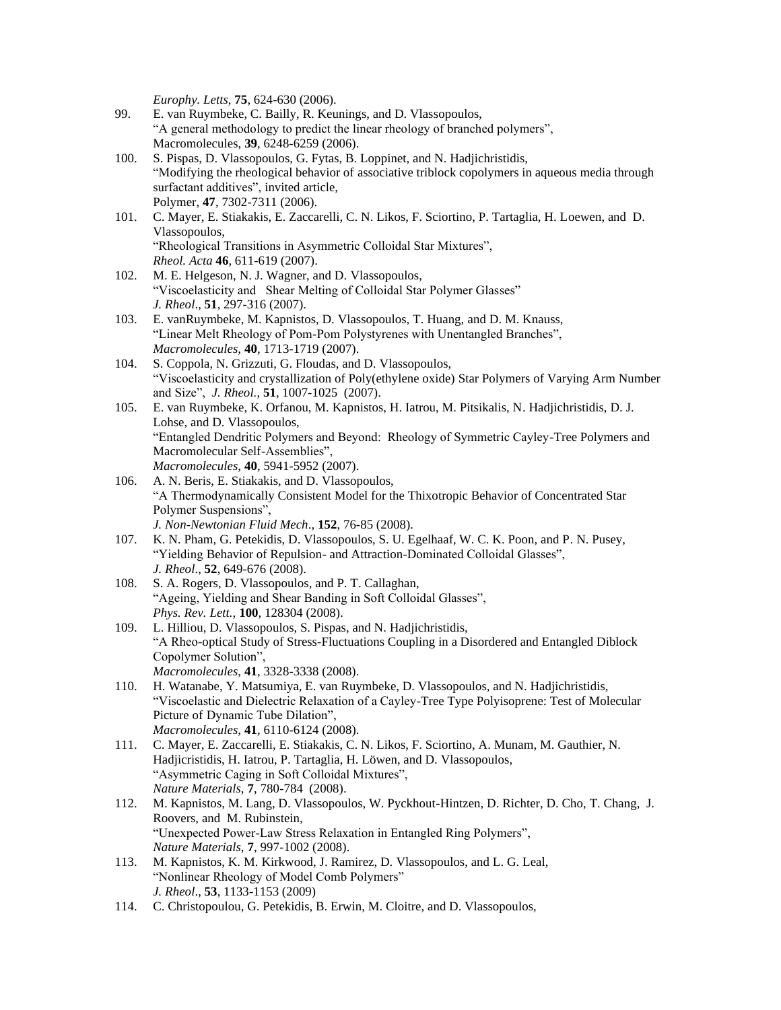*Europhy. Letts*, **75**, 624-630 (2006).

- 99. E. van Ruymbeke, C. Bailly, R. Keunings, and D. Vlassopoulos, "A general methodology to predict the linear rheology of branched polymers", Macromolecules, **39**, 6248-6259 (2006).
- 100. S. Pispas, D. Vlassopoulos, G. Fytas, B. Loppinet, and N. Hadjichristidis, "Modifying the rheological behavior of associative triblock copolymers in aqueous media through surfactant additives", invited article, Polymer, **47**, 7302-7311 (2006).
- 101. C. Mayer, E. Stiakakis, E. Zaccarelli, C. N. Likos, F. Sciortino, P. Tartaglia, H. Loewen, and D. Vlassopoulos, "Rheological Transitions in Asymmetric Colloidal Star Mixtures", *Rheol. Acta* **46**, 611-619 (2007).
- 102. M. E. Helgeson, N. J. Wagner, and D. Vlassopoulos, "Viscoelasticity and Shear Melting of Colloidal Star Polymer Glasses" *J. Rheol*., **51**, 297-316 (2007).
- 103. E. vanRuymbeke, M. Kapnistos, D. Vlassopoulos, T. Huang, and D. M. Knauss, "Linear Melt Rheology of Pom-Pom Polystyrenes with Unentangled Branches", *Macromolecules*, **40**, 1713-1719 (2007).
- 104. S. Coppola, N. Grizzuti, G. Floudas, and D. Vlassopoulos, "Viscoelasticity and crystallization of Poly(ethylene oxide) Star Polymers of Varying Arm Number and Size", *J. Rheol.*, **51**, 1007-1025 (2007).
- 105. E. van Ruymbeke, K. Orfanou, M. Kapnistos, H. Iatrou, M. Pitsikalis, N. Hadjichristidis, D. J. Lohse, and D. Vlassopoulos, "Entangled Dendritic Polymers and Beyond: Rheology of Symmetric Cayley-Tree Polymers and Macromolecular Self-Assemblies", *Macromolecules*, **40**, 5941-5952 (2007).
- 106. A. N. Beris, E. Stiakakis, and D. Vlassopoulos, "A Thermodynamically Consistent Model for the Thixotropic Behavior of Concentrated Star Polymer Suspensions", *J. Non-Newtonian Fluid Mech*., **152**, 76-85 (2008).
- 107. K. N. Pham, G. Petekidis, D. Vlassopoulos, S. U. Egelhaaf, W. C. K. Poon, and P. N. Pusey, "Yielding Behavior of Repulsion- and Attraction-Dominated Colloidal Glasses", *J. Rheol*., **52**, 649-676 (2008).
- 108. S. A. Rogers, D. Vlassopoulos, and P. T. Callaghan, "Ageing, Yielding and Shear Banding in Soft Colloidal Glasses", *Phys. Rev. Lett.*, **100**, 128304 (2008).
- 109. L. Hilliou, D. Vlassopoulos, S. Pispas, and N. Hadjichristidis, "A Rheo-optical Study of Stress-Fluctuations Coupling in a Disordered and Entangled Diblock Copolymer Solution", *Macromolecules*, **41**, 3328-3338 (2008).
- 110. H. Watanabe, Y. Matsumiya, E. van Ruymbeke, D. Vlassopoulos, and N. Hadjichristidis, "Viscoelastic and Dielectric Relaxation of a Cayley-Tree Type Polyisoprene: Test of Molecular Picture of Dynamic Tube Dilation", *Macromolecules*, **41**, 6110-6124 (2008).
- 111. C. Mayer, E. Zaccarelli, E. Stiakakis, C. N. Likos, F. Sciortino, A. Munam, M. Gauthier, N. Hadjicristidis, H. Iatrou, P. Tartaglia, H. Löwen, and D. Vlassopoulos, "Asymmetric Caging in Soft Colloidal Mixtures", *Nature Materials*, **7**, 780-784 (2008).
- 112. M. Kapnistos, M. Lang, D. Vlassopoulos, W. Pyckhout-Hintzen, D. Richter, D. Cho, T. Chang, J. Roovers, and M. Rubinstein, "Unexpected Power-Law Stress Relaxation in Entangled Ring Polymers", *Nature Materials*, **7**, 997-1002 (2008).
- 113. M. Kapnistos, K. M. Kirkwood, J. Ramirez, D. Vlassopoulos, and L. G. Leal, "Nonlinear Rheology of Model Comb Polymers" *J. Rheol*., **53**, 1133-1153 (2009)
- 114. C. Christopoulou, G. Petekidis, B. Erwin, M. Cloitre, and D. Vlassopoulos,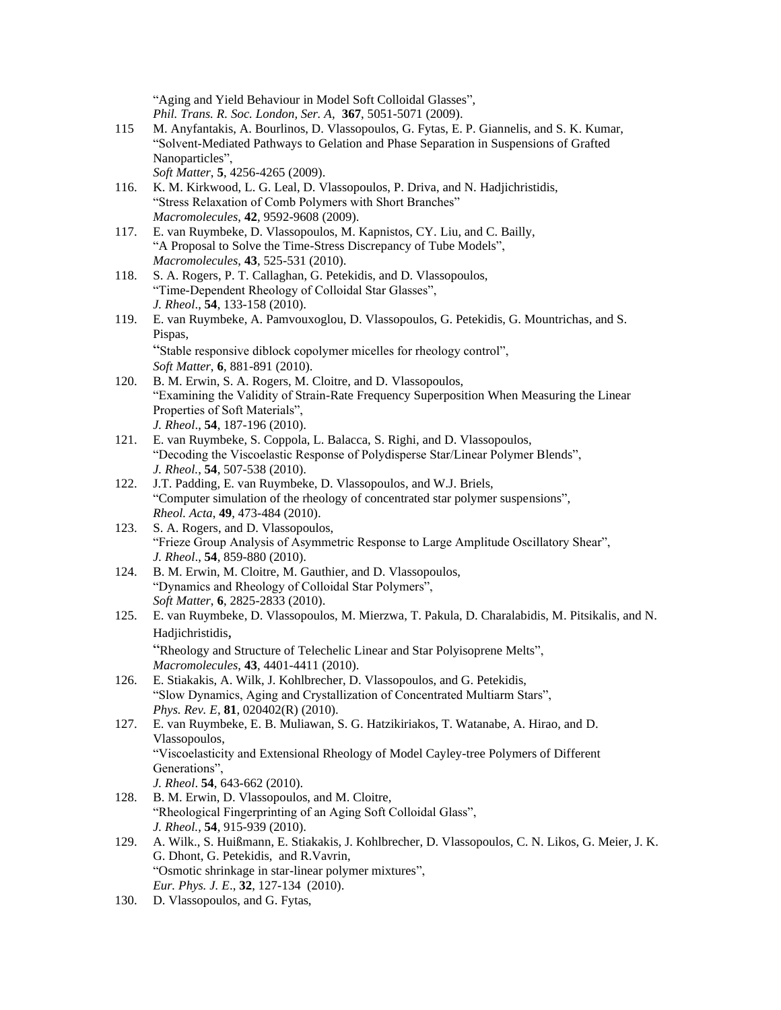"Aging and Yield Behaviour in Model Soft Colloidal Glasses", *Phil. Trans. R. Soc. London, Ser. A,* **367**, 5051-5071 (2009).

- 115 M. Anyfantakis, A. Bourlinos, D. Vlassopoulos, G. Fytas, E. P. Giannelis, and S. K. Kumar, "Solvent-Mediated Pathways to Gelation and Phase Separation in Suspensions of Grafted Nanoparticles", *Soft Matter*, **5**, 4256-4265 (2009).
- 116. K. M. Kirkwood, L. G. Leal, D. Vlassopoulos, P. Driva, and N. Hadjichristidis, "Stress Relaxation of Comb Polymers with Short Branches"
- *Macromolecules*, **42**, 9592-9608 (2009). 117. E. van Ruymbeke, D. Vlassopoulos, M. Kapnistos, CY. Liu, and C. Bailly, "A Proposal to Solve the Time-Stress Discrepancy of Tube Models", *Macromolecules*, **43**, 525-531 (2010).
- 118. S. A. Rogers, P. T. Callaghan, G. Petekidis, and D. Vlassopoulos, "Time-Dependent Rheology of Colloidal Star Glasses", *J. Rheol*., **54**, 133-158 (2010).
- 119. E. van Ruymbeke, A. Pamvouxoglou, D. Vlassopoulos, G. Petekidis, G. Mountrichas, and S. Pispas, "Stable responsive diblock copolymer micelles for rheology control",
- *Soft Matter*, **6**, 881-891 (2010). 120. B. M. Erwin, S. A. Rogers, M. Cloitre, and D. Vlassopoulos, "Examining the Validity of Strain-Rate Frequency Superposition When Measuring the Linear Properties of Soft Materials",
- *J. Rheol*., **54**, 187-196 (2010). 121. E. van Ruymbeke, S. Coppola, L. Balacca, S. Righi, and D. Vlassopoulos,
	- "Decoding the Viscoelastic Response of Polydisperse Star/Linear Polymer Blends", *J. Rheol.*, **54**, 507-538 (2010).
	- 122. J.T. Padding, E. van Ruymbeke, D. Vlassopoulos, and W.J. Briels, "Computer simulation of the rheology of concentrated star polymer suspensions", *Rheol. Acta*, **49**, 473-484 (2010).
	- 123. S. A. Rogers, and D. Vlassopoulos, "Frieze Group Analysis of Asymmetric Response to Large Amplitude Oscillatory Shear", *J. Rheol*., **54**, 859-880 (2010).
	- 124. B. M. Erwin, M. Cloitre, M. Gauthier, and D. Vlassopoulos, "Dynamics and Rheology of Colloidal Star Polymers", *Soft Matter*, **6**, 2825-2833 (2010).
	- 125. E. van Ruymbeke, D. Vlassopoulos, M. Mierzwa, T. Pakula, D. Charalabidis, M. Pitsikalis, and N. Hadjichristidis,

"Rheology and Structure of Telechelic Linear and Star Polyisoprene Melts", *Macromolecules*, **43**, 4401-4411 (2010).

- 126. E. Stiakakis, A. Wilk, J. Kohlbrecher, D. Vlassopoulos, and G. Petekidis, "Slow Dynamics, Aging and Crystallization of Concentrated Multiarm Stars", *Phys. Rev. E*, **81**, 020402(R) (2010).
- 127. E. van Ruymbeke, E. B. Muliawan, S. G. Hatzikiriakos, T. Watanabe, A. Hirao, and D. Vlassopoulos, "Viscoelasticity and Extensional Rheology of Model Cayley-tree Polymers of Different Generations", *J. Rheol*. **54**, 643-662 (2010).
- 128. B. M. Erwin, D. Vlassopoulos, and M. Cloitre, "Rheological Fingerprinting of an Aging Soft Colloidal Glass", *J. Rheol.*, **54**, 915-939 (2010).
- 129. A. Wilk., S. Huißmann, E. Stiakakis, J. Kohlbrecher, D. Vlassopoulos, C. N. Likos, G. Meier, J. K. G. Dhont, G. Petekidis, and R.Vavrin, "Osmotic shrinkage in star-linear polymer mixtures", *Eur. Phys. J. E*., **32**, 127-134 (2010).
- 130. D. Vlassopoulos, and G. Fytas,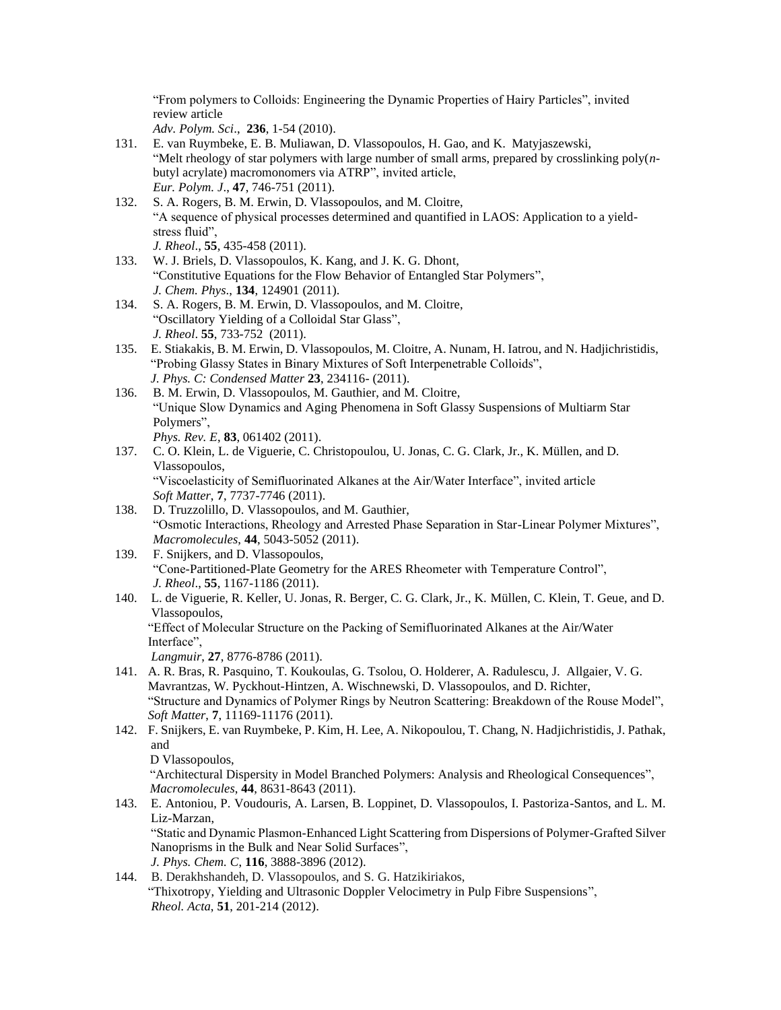"From polymers to Colloids: Engineering the Dynamic Properties of Hairy Particles", invited review article

*Adv. Polym. Sci*., **236**, 1-54 (2010).

- 131. E. van Ruymbeke, E. B. Muliawan, D. Vlassopoulos, H. Gao, and K. Matyjaszewski, "Melt rheology of star polymers with large number of small arms, prepared by crosslinking poly(*n*butyl acrylate) macromonomers via ATRP", invited article, *Eur. Polym. J*., **47**, 746-751 (2011).
- 132. S. A. Rogers, B. M. Erwin, D. Vlassopoulos, and M. Cloitre, "A sequence of physical processes determined and quantified in LAOS: Application to a yieldstress fluid", *J. Rheol*., **55**, 435-458 (2011).
- 133. W. J. Briels, D. Vlassopoulos, K. Kang, and J. K. G. Dhont, "Constitutive Equations for the Flow Behavior of Entangled Star Polymers", *J. Chem. Phys*., **134**, 124901 (2011).
- 134. S. A. Rogers, B. M. Erwin, D. Vlassopoulos, and M. Cloitre, "Oscillatory Yielding of a Colloidal Star Glass", *J. Rheol*. **55**, 733-752 (2011).
- 135. E. Stiakakis, B. M. Erwin, D. Vlassopoulos, M. Cloitre, A. Nunam, H. Iatrou, and N. Hadjichristidis, "Probing Glassy States in Binary Mixtures of Soft Interpenetrable Colloids", *J. Phys. C: Condensed Matter* **23**, 234116- (2011).
- 136. B. M. Erwin, D. Vlassopoulos, M. Gauthier, and M. Cloitre, "Unique Slow Dynamics and Aging Phenomena in Soft Glassy Suspensions of Multiarm Star Polymers", *Phys. Rev. E*, **83**, 061402 (2011).
- 137. C. O. Klein, L. de Viguerie, C. Christopoulou, U. Jonas, C. G. Clark, Jr., K. Müllen, and D. Vlassopoulos, "Viscoelasticity of Semifluorinated Alkanes at the Air/Water Interface", invited article *Soft Matter*, **7**, 7737-7746 (2011).
- 138. D. Truzzolillo, D. Vlassopoulos, and M. Gauthier, "Osmotic Interactions, Rheology and Arrested Phase Separation in Star-Linear Polymer Mixtures", *Macromolecules*, **44**, 5043-5052 (2011).
- 139. F. Snijkers, and D. Vlassopoulos, "Cone-Partitioned-Plate Geometry for the ARES Rheometer with Temperature Control", *J. Rheol*., **55**, 1167-1186 (2011).
- 140. L. de Viguerie, R. Keller, U. Jonas, R. Berger, C. G. Clark, Jr., K. Müllen, C. Klein, T. Geue, and D. Vlassopoulos, "Effect of Molecular Structure on the Packing of Semifluorinated Alkanes at the Air/Water Interface", *Langmuir*, **27**, 8776-8786 (2011).
- 141. A. R. Bras, R. Pasquino, T. Koukoulas, G. Tsolou, O. Holderer, A. Radulescu, J. Allgaier, V. G. Mavrantzas, W. Pyckhout-Hintzen, A. Wischnewski, D. Vlassopoulos, and D. Richter, "Structure and Dynamics of Polymer Rings by Neutron Scattering: Breakdown of the Rouse Model", *Soft Matter*, **7**, 11169-11176 (2011).
- 142. F. Snijkers, E. van Ruymbeke, P. Kim, H. Lee, A. Nikopoulou, T. Chang, N. Hadjichristidis, J. Pathak, and

D Vlassopoulos,

 "Architectural Dispersity in Model Branched Polymers: Analysis and Rheological Consequences", *Macromolecules*, **44**, 8631-8643 (2011).

- 143. E. Antoniou, P. Voudouris, A. Larsen, B. Loppinet, D. Vlassopoulos, I. Pastoriza-Santos, and L. M. Liz-Marzan, "Static and Dynamic Plasmon-Enhanced Light Scattering from Dispersions of Polymer-Grafted Silver Nanoprisms in the Bulk and Near Solid Surfaces", *J. Phys. Chem. C*, **116**, 3888-3896 (2012).
- 144. B. Derakhshandeh, D. Vlassopoulos, and S. G. Hatzikiriakos, "Thixotropy, Yielding and Ultrasonic Doppler Velocimetry in Pulp Fibre Suspensions", *Rheol. Acta*, **51**, 201-214 (2012).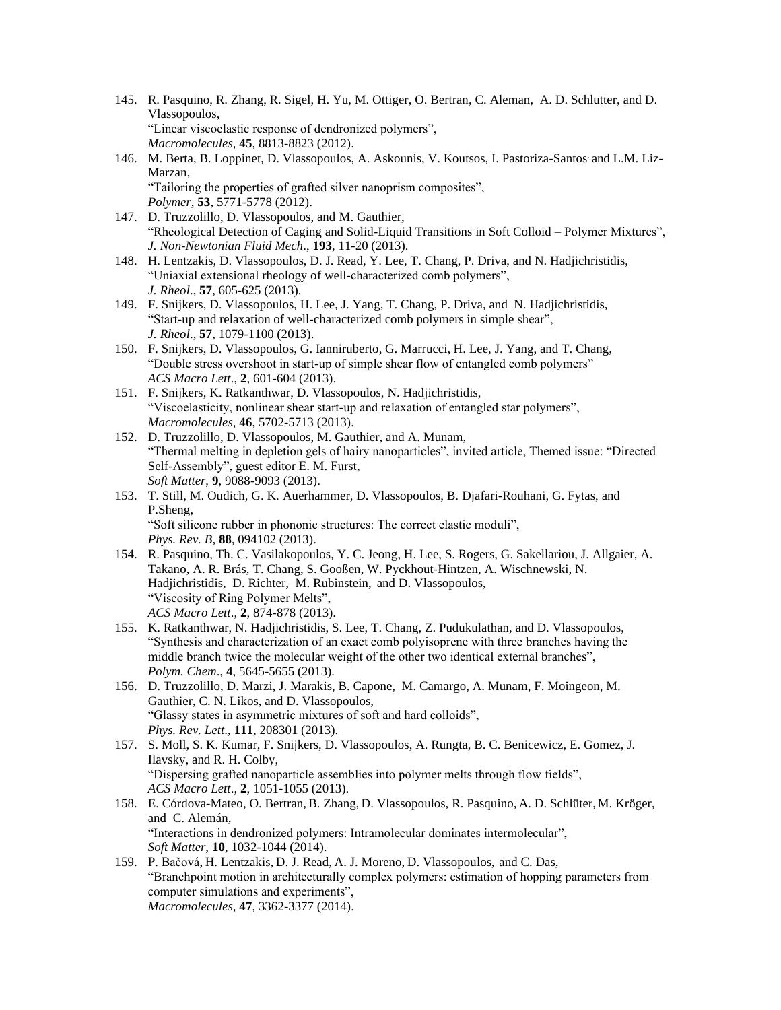- 145. R. Pasquino, R. Zhang, R. Sigel, H. Yu, M. Ottiger, O. Bertran, C. Aleman, A. D. Schlutter, and D. Vlassopoulos, "Linear viscoelastic response of dendronized polymers", *Macromolecules*, **45**, 8813-8823 (2012).
- 146. M. Berta, B. Loppinet, D. Vlassopoulos, A. Askounis, V. Koutsos, I. Pastoriza-Santos, and L.M. Liz-Marzan, "Tailoring the properties of grafted silver nanoprism composites", *Polymer*, **53**, 5771-5778 (2012).
- 147. D. Truzzolillo, D. Vlassopoulos, and M. Gauthier, "Rheological Detection of Caging and Solid-Liquid Transitions in Soft Colloid – Polymer Mixtures", *J. Non-Newtonian Fluid Mech*., **193**, 11-20 (2013).
- 148. H. Lentzakis, D. Vlassopoulos, D. J. Read, Y. Lee, T. Chang, P. Driva, and N. Hadjichristidis, "Uniaxial extensional rheology of well-characterized comb polymers", *J. Rheol*., **57**, 605-625 (2013).
- 149. F. Snijkers, D. Vlassopoulos, H. Lee, J. Yang, T. Chang, P. Driva, and N. Hadjichristidis, "Start-up and relaxation of well-characterized comb polymers in simple shear", *J. Rheol*., **57**, 1079-1100 (2013).
- 150. F. Snijkers, D. Vlassopoulos, G. Ianniruberto, G. Marrucci, H. Lee, J. Yang, and T. Chang, "Double stress overshoot in start-up of simple shear flow of entangled comb polymers" *ACS Macro Lett*., **2**, 601-604 (2013).
- 151. F. Snijkers, K. Ratkanthwar, D. Vlassopoulos, N. Hadjichristidis, "Viscoelasticity, nonlinear shear start-up and relaxation of entangled star polymers", *Macromolecules*, **46**, 5702-5713 (2013).
- 152. D. Truzzolillo, D. Vlassopoulos, M. Gauthier, and A. Munam, "Thermal melting in depletion gels of hairy nanoparticles", invited article, Themed issue: "Directed Self-Assembly", guest editor E. M. Furst, *Soft Matter*, **9**, 9088-9093 (2013).
- 153. T. Still, M. Oudich, G. K. Auerhammer, D. Vlassopoulos, B. Djafari-Rouhani, G. Fytas, and P.Sheng, "Soft silicone rubber in phononic structures: The correct elastic moduli", *Phys. Rev. B*, **88**, 094102 (2013).
- 154. R. Pasquino, Th. C. Vasilakopoulos, Y. C. Jeong, H. Lee, S. Rogers, G. Sakellariou, J. Allgaier, A. Takano, A. R. Brás, T. Chang, S. Gooßen, W. Pyckhout-Hintzen, A. Wischnewski, N. Hadjichristidis, D. Richter, M. Rubinstein, and D. Vlassopoulos, "Viscosity of Ring Polymer Melts", *ACS Macro Lett*., **2**, 874-878 (2013).
- 155. K. Ratkanthwar, N. Hadjichristidis, S. Lee, T. Chang, Z. Pudukulathan, and D. Vlassopoulos, "Synthesis and characterization of an exact comb polyisoprene with three branches having the middle branch twice the molecular weight of the other two identical external branches", *Polym. Chem*., **4**, 5645-5655 (2013).
- 156. D. Truzzolillo, D. Marzi, J. Marakis, B. Capone, M. Camargo, A. Munam, F. Moingeon, M. Gauthier, C. N. Likos, and D. Vlassopoulos, "Glassy states in asymmetric mixtures of soft and hard colloids", *Phys. Rev. Lett*., **111**, 208301 (2013).
- 157. S. Moll, S. K. Kumar, F. Snijkers, D. Vlassopoulos, A. Rungta, B. C. Benicewicz, E. Gomez, J. Ilavsky, and R. H. Colby, "Dispersing grafted nanoparticle assemblies into polymer melts through flow fields", *ACS Macro Lett*., **2**, 1051-1055 (2013).
- 158. E. Córdova-Mateo, O. Bertran, B. Zhang, D. Vlassopoulos, R. Pasquino, A. D. Schlüter, M. Kröger, and C. Alemán, "Interactions in dendronized polymers: Intramolecular dominates intermolecular", *Soft Matter*, **10**, 1032-1044 (2014).
- 159. P. Bačová, H. Lentzakis, D. J. Read, A. J. Moreno, D. Vlassopoulos, and C. Das, "Branchpoint motion in architecturally complex polymers: estimation of hopping parameters from computer simulations and experiments", *Macromolecules*, **47**, 3362-3377 (2014).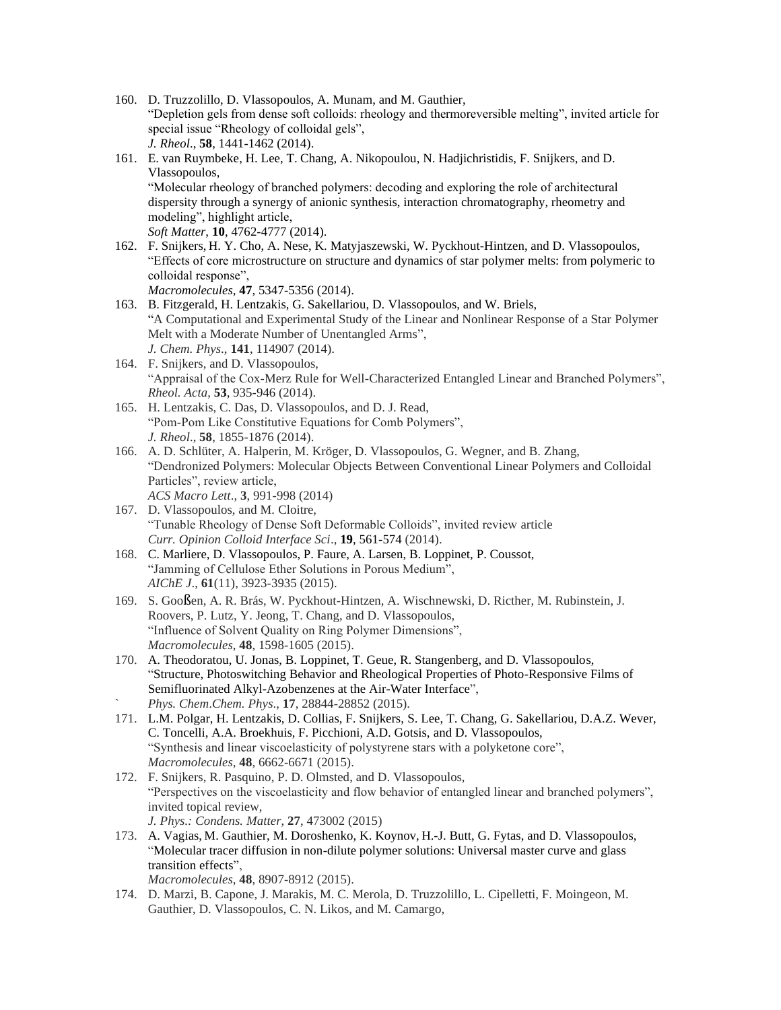- 160. D. Truzzolillo, D. Vlassopoulos, A. Munam, and M. Gauthier, "Depletion gels from dense soft colloids: rheology and thermoreversible melting", invited article for special issue "Rheology of colloidal gels", *J. Rheol*., **58**, 1441-1462 (2014).
- 161. E. van Ruymbeke, H. Lee, T. Chang, A. Nikopoulou, N. Hadjichristidis, F. Snijkers, and D. Vlassopoulos, "Molecular rheology of branched polymers: decoding and exploring the role of architectural dispersity through a synergy of anionic synthesis, interaction chromatography, rheometry and modeling", highlight article, *Soft Matter*, **10**, 4762-4777 (2014).
- 162. F. Snijkers, H. Y. Cho, A. Nese, K. Matyjaszewski, W. Pyckhout-Hintzen, and D. Vlassopoulos, "Effects of core microstructure on structure and dynamics of star polymer melts: from polymeric to colloidal response", *Macromolecules*, **47**, 5347-5356 (2014).
- 163. B. Fitzgerald, H. Lentzakis, G. Sakellariou, D. Vlassopoulos, and W. Briels, "A Computational and Experimental Study of the Linear and Nonlinear Response of a Star Polymer Melt with a Moderate Number of Unentangled Arms", *J. Chem. Phys*., **141**, 114907 (2014).
- 164. F. Snijkers, and D. Vlassopoulos, "Appraisal of the Cox-Merz Rule for Well-Characterized Entangled Linear and Branched Polymers", *Rheol. Acta*, **53**, 935-946 (2014).
- 165. H. Lentzakis, C. Das, D. Vlassopoulos, and D. J. Read, "Pom-Pom Like Constitutive Equations for Comb Polymers", *J. Rheol*., **58**, 1855-1876 (2014).
- 166. A. D. Schlüter, A. Halperin, M. Kröger, D. Vlassopoulos, G. Wegner, and B. Zhang, "Dendronized Polymers: Molecular Objects Between Conventional Linear Polymers and Colloidal Particles", review article, *ACS Macro Lett*., **3**, 991-998 (2014)
- 167. D. Vlassopoulos, and M. Cloitre, "Tunable Rheology of Dense Soft Deformable Colloids", invited review article *Curr. Opinion Colloid Interface Sci*., **19**, 561-574 (2014).
- 168. C. Marliere, D. Vlassopoulos, P. Faure, A. Larsen, B. Loppinet, P. Coussot, "Jamming of Cellulose Ether Solutions in Porous Medium", *AIChE J*., **61**(11), 3923-3935 (2015).
- 169. S. Gooßen, A. R. Brás, W. Pyckhout-Hintzen, A. Wischnewski, D. Ricther, M. Rubinstein, J. Roovers, P. Lutz, Y. Jeong, T. Chang, and D. Vlassopoulos, "Influence of Solvent Quality on Ring Polymer Dimensions", *Macromolecules*, **48**, 1598-1605 (2015).
- 170. A. Theodoratou, U. Jonas, B. Loppinet, T. Geue, R. Stangenberg, and D. Vlassopoulos, "Structure, Photoswitching Behavior and Rheological Properties of Photo-Responsive Films of Semifluorinated Alkyl-Azobenzenes at the Air-Water Interface", ` *Phys. Chem*.*Chem. Phys*., **17**, 28844-28852 (2015).
- 171. L.M. Polgar, H. Lentzakis, D. Collias, F. Snijkers, S. Lee, T. Chang, G. Sakellariou, D.A.Z. Wever, C. Toncelli, A.A. Broekhuis, F. Picchioni, A.D. Gotsis, and D. Vlassopoulos, "Synthesis and linear viscoelasticity of polystyrene stars with a polyketone core", *Macromolecules*, **48**, 6662-6671 (2015).
- 172. F. Snijkers, R. Pasquino, P. D. Olmsted, and D. Vlassopoulos, "Perspectives on the viscoelasticity and flow behavior of entangled linear and branched polymers", invited topical review, *J. Phys.: Condens. Matter*, **27**, 473002 (2015)
- 173. A. Vagias, M. Gauthier, M. Doroshenko, K. Koynov, H.-J. Butt, G. Fytas, and D. Vlassopoulos, "Molecular tracer diffusion in non-dilute polymer solutions: Universal master curve and glass transition effects", *Macromolecules*, **48**, 8907-8912 (2015).
- 174. D. Marzi, B. Capone, J. Marakis, M. C. Merola, D. Truzzolillo, L. Cipelletti, F. Moingeon, M. Gauthier, D. Vlassopoulos, C. N. Likos, and M. Camargo,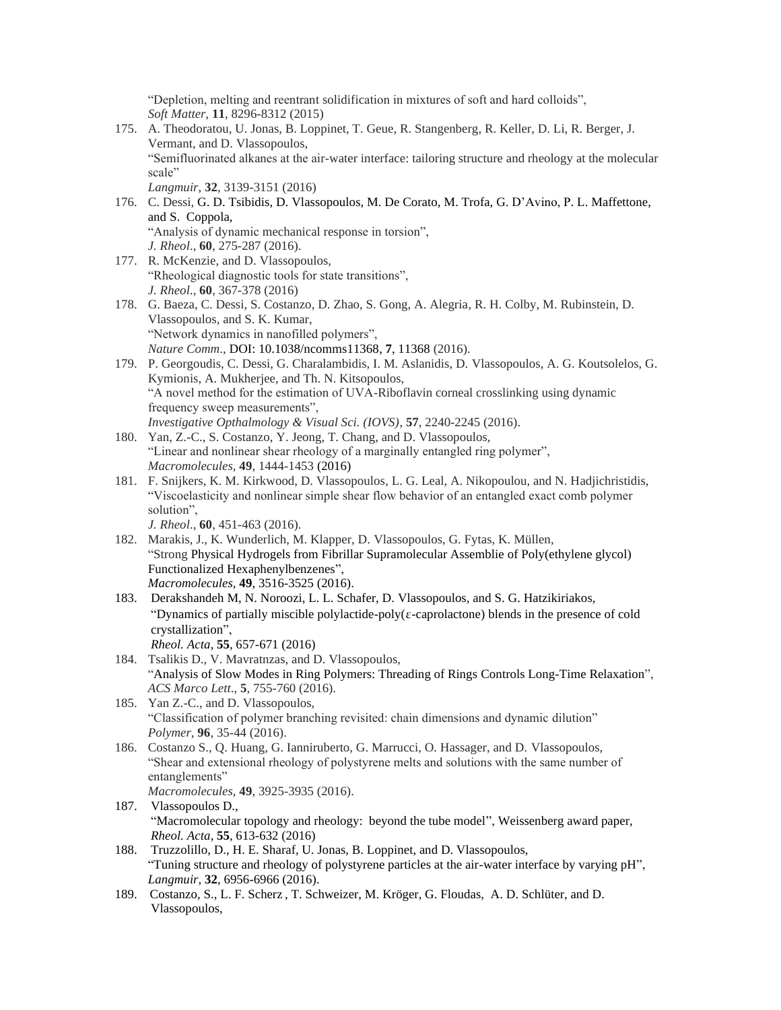"Depletion, melting and reentrant solidification in mixtures of soft and hard colloids", *Soft Matter*, **11**, 8296-8312 (2015)

- 175. A. Theodoratou, U. Jonas, B. Loppinet, T. Geue, R. Stangenberg, R. Keller, D. Li, R. Berger, J. Vermant, and D. Vlassopoulos, "Semifluorinated alkanes at the air-water interface: tailoring structure and rheology at the molecular scale" *Langmuir*, **32**, 3139-3151 (2016)
- 176. C. Dessi, G. D. Tsibidis, D. Vlassopoulos, M. De Corato, M. Trofa, G. D'Avino, P. L. Maffettone, and S. Coppola, "Analysis of dynamic mechanical response in torsion", *J. Rheol*., **60**, 275-287 (2016).
- 177. R. McKenzie, and D. Vlassopoulos, "Rheological diagnostic tools for state transitions", *J. Rheol*., **60**, 367-378 (2016)
- 178. G. Baeza, C. Dessi, S. Costanzo, D. Zhao, S. Gong, A. Alegria, R. H. Colby, M. Rubinstein, D. Vlassopoulos, and S. K. Kumar, "Network dynamics in nanofilled polymers", *Nature Comm*., DOI: 10.1038/ncomms11368, **7**, 11368 (2016).
- 179. P. Georgoudis, C. Dessi, G. Charalambidis, I. M. Aslanidis, D. Vlassopoulos, A. G. Koutsolelos, G. Kymionis, A. Mukherjee, and Th. N. Kitsopoulos, "A novel method for the estimation of UVA-Riboflavin corneal crosslinking using dynamic frequency sweep measurements", *Investigative Opthalmology & Visual Sci. (IOVS)*, **57**, 2240-2245 (2016).
- 180. Yan, Z.-C., S. Costanzo, Y. Jeong, T. Chang, and D. Vlassopoulos, "Linear and nonlinear shear rheology of a marginally entangled ring polymer", *Macromolecules*, **49**, 1444-1453 (2016)
- 181. F. Snijkers, K. M. Kirkwood, D. Vlassopoulos, L. G. Leal, A. Nikopoulou, and N. Hadjichristidis, "Viscoelasticity and nonlinear simple shear flow behavior of an entangled exact comb polymer solution", *J. Rheol*., **60**, 451-463 (2016).
- 182. Marakis, J., K. Wunderlich, M. Klapper, D. Vlassopoulos, G. Fytas, K. Müllen, "Strong Physical Hydrogels from Fibrillar Supramolecular Assemblie of Poly(ethylene glycol) Functionalized Hexaphenylbenzenes", *Macromolecules*, **49**, 3516-3525 (2016).
- 183. Derakshandeh M, N. Noroozi, L. L. Schafer, D. Vlassopoulos, and S. G. Hatzikiriakos, "Dynamics of partially miscible polylactide-poly(ε-caprolactone) blends in the presence of cold crystallization", *Rheol. Acta*, **55**, 657-671 (2016)
- 184. Tsalikis D., V. Mavratnzas, and D. Vlassopoulos, "Analysis of Slow Modes in Ring Polymers: Threading of Rings Controls Long-Time Relaxation", *ACS Marco Lett*., **5**, 755-760 (2016).
- 185. Yan Z.-C., and D. Vlassopoulos, "Classification of polymer branching revisited: chain dimensions and dynamic dilution" *Polymer*, **96**, 35-44 (2016).
- 186. Costanzo S., Q. Huang, G. Ianniruberto, G. Marrucci, O. Hassager, and D. Vlassopoulos, "Shear and extensional rheology of polystyrene melts and solutions with the same number of entanglements"
	- *Macromolecules*, **49**, 3925-3935 (2016).
- 187. Vlassopoulos D., "Macromolecular topology and rheology: beyond the tube model", Weissenberg award paper, *Rheol. Acta*, **55**, 613-632 (2016)
- 188. Truzzolillo, D., H. E. Sharaf, U. Jonas, B. Loppinet, and D. Vlassopoulos, "Tuning structure and rheology of polystyrene particles at the air-water interface by varying pH", *Langmuir*, **32**, 6956-6966 (2016).
- 189. Costanzo, S., L. F. Scherz , T. Schweizer, M. Kröger, G. Floudas, A. D. Schlüter, and D. Vlassopoulos,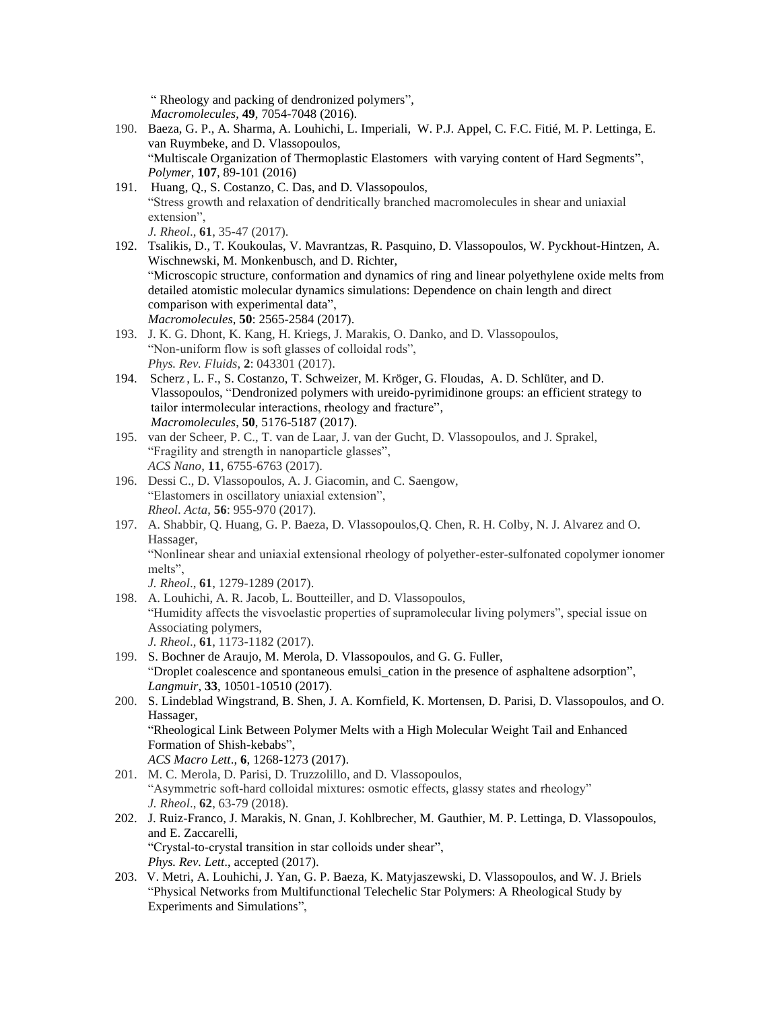" Rheology and packing of dendronized polymers", *Macromolecules*, **49**, 7054-7048 (2016).

- 190. Baeza, G. P., A. Sharma, A. Louhichi, L. Imperiali, W. P.J. Appel, C. F.C. Fitié, M. P. Lettinga, E. van Ruymbeke, and D. Vlassopoulos, "Multiscale Organization of Thermoplastic Elastomers with varying content of Hard Segments", *Polymer*, **107**, 89-101 (2016)
- 191. Huang, Q., S. Costanzo, C. Das, and D. Vlassopoulos, "Stress growth and relaxation of dendritically branched macromolecules in shear and uniaxial extension", *J. Rheol*., **61**, 35-47 (2017).

192. Tsalikis, D., T. Koukoulas, V. Mavrantzas, R. Pasquino, D. Vlassopoulos, W. Pyckhout-Hintzen, A. Wischnewski, M. Monkenbusch, and D. Richter, "Microscopic structure, conformation and dynamics of ring and linear polyethylene oxide melts from detailed atomistic molecular dynamics simulations: Dependence on chain length and direct comparison with experimental data", *Macromolecules*, **50**: 2565-2584 (2017).

- 193. J. K. G. Dhont, K. Kang, H. Kriegs, J. Marakis, O. Danko, and D. Vlassopoulos, "Non-uniform flow is soft glasses of colloidal rods", *Phys. Rev. Fluids*, **2**: 043301 (2017).
- 194. Scherz , L. F., S. Costanzo, T. Schweizer, M. Kröger, G. Floudas, A. D. Schlüter, and D. Vlassopoulos, "Dendronized polymers with ureido-pyrimidinone groups: an efficient strategy to tailor intermolecular interactions, rheology and fracture", *Macromolecules*, **50**, 5176-5187 (2017).
- 195. van der Scheer, P. C., T. van de Laar, J. van der Gucht, D. Vlassopoulos, and J. Sprakel, "Fragility and strength in nanoparticle glasses", *ACS Nano*, **11**, 6755-6763 (2017).
- 196. Dessi C., D. Vlassopoulos, A. J. Giacomin, and C. Saengow, "Elastomers in oscillatory uniaxial extension", *Rheol*. *Acta*, **56**: 955-970 (2017).
- 197. A. Shabbir, Q. Huang, G. P. Baeza, D. Vlassopoulos,Q. Chen, R. H. Colby, N. J. Alvarez and O. Hassager, "Nonlinear shear and uniaxial extensional rheology of polyether-ester-sulfonated copolymer ionomer melts",

*J. Rheol*., **61**, 1279-1289 (2017).

- 198. A. Louhichi, A. R. Jacob, L. Boutteiller, and D. Vlassopoulos, "Humidity affects the visvoelastic properties of supramolecular living polymers", special issue on Associating polymers, *J. Rheol*., **61**, 1173-1182 (2017).
- 199. S. Bochner de Araujo, M. Merola, D. Vlassopoulos, and G. G. Fuller, "Droplet coalescence and spontaneous emulsi\_cation in the presence of asphaltene adsorption", *Langmuir*, **33**, 10501-10510 (2017).
- 200. S. Lindeblad Wingstrand, B. Shen, J. A. Kornfield, K. Mortensen, D. Parisi, D. Vlassopoulos, and O. Hassager, "Rheological Link Between Polymer Melts with a High Molecular Weight Tail and Enhanced Formation of Shish-kebabs", *ACS Macro Lett*., **6**, 1268-1273 (2017).
- 201. M. C. Merola, D. Parisi, D. Truzzolillo, and D. Vlassopoulos, "Asymmetric soft-hard colloidal mixtures: osmotic effects, glassy states and rheology" *J. Rheol*., **62**, 63-79 (2018).
- 202. J. Ruiz-Franco, J. Marakis, N. Gnan, J. Kohlbrecher, M. Gauthier, M. P. Lettinga, D. Vlassopoulos, and E. Zaccarelli, "Crystal-to-crystal transition in star colloids under shear", *Phys. Rev. Lett*., accepted (2017).
- 203. V. Metri, A. Louhichi, J. Yan, G. P. Baeza, K. Matyjaszewski, D. Vlassopoulos, and W. J. Briels "Physical Networks from Multifunctional Telechelic Star Polymers: A Rheological Study by Experiments and Simulations",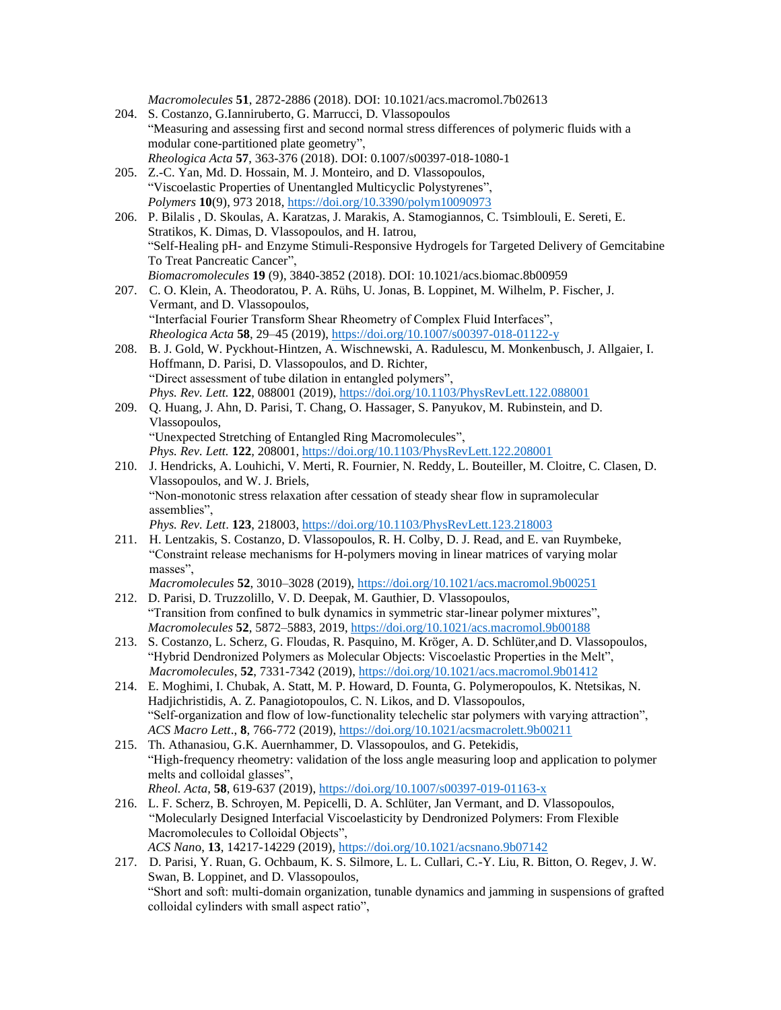*Macromolecules* **51**, 2872-2886 (2018). DOI: 10.1021/acs.macromol.7b02613

- 204. S. Costanzo, G.Ianniruberto, G. Marrucci, D. Vlassopoulos "Measuring and assessing first and second normal stress differences of polymeric fluids with a modular cone-partitioned plate geometry", *Rheologica Acta* **57**, 363-376 (2018). DOI: 0.1007/s00397-018-1080-1
- 205. Z.-C. Yan, Md. D. Hossain, M. J. Monteiro, and D. Vlassopoulos, "Viscoelastic Properties of Unentangled Multicyclic Polystyrenes", *Polymers* **10**(9), 973 2018, <https://doi.org/10.3390/polym10090973>
- 206. P. Bilalis , D. Skoulas, A. Karatzas, J. Marakis, A. Stamogiannos, C. Tsimblouli, E. Sereti, E. Stratikos, K. Dimas, D. Vlassopoulos, and H. Iatrou, "Self-Healing pH- and Enzyme Stimuli-Responsive Hydrogels for Targeted Delivery of Gemcitabine To Treat Pancreatic Cancer", *Biomacromolecules* **19** (9), 3840-3852 (2018). DOI: 10.1021/acs.biomac.8b00959
- 207. C. O. Klein, A. Theodoratou, P. A. Rühs, U. Jonas, B. Loppinet, M. Wilhelm, P. Fischer, J. Vermant, and D. Vlassopoulos, "Interfacial Fourier Transform Shear Rheometry of Complex Fluid Interfaces", *Rheologica Acta* **58**, 29–45 (2019), <https://doi.org/10.1007/s00397-018-01122-y>
- 208. B. J. Gold, W. Pyckhout-Hintzen, A. Wischnewski, A. Radulescu, M. Monkenbusch, J. Allgaier, I. Hoffmann, D. Parisi, D. Vlassopoulos, and D. Richter, "Direct assessment of tube dilation in entangled polymers", *Phys. Rev. Lett.* **122**, 088001 (2019), <https://doi.org/10.1103/PhysRevLett.122.088001>
- 209. Q. Huang, J. Ahn, D. Parisi, T. Chang, O. Hassager, S. Panyukov, M. Rubinstein, and D. Vlassopoulos, "Unexpected Stretching of Entangled Ring Macromolecules", *Phys. Rev. Lett.* **122***,* 208001,<https://doi.org/10.1103/PhysRevLett.122.208001>
- 210. J. Hendricks, A. Louhichi, V. Merti, R. Fournier, N. Reddy, L. Bouteiller, M. Cloitre, C. Clasen, D. Vlassopoulos, and W. J. Briels, "Non-monotonic stress relaxation after cessation of steady shear flow in supramolecular assemblies", *Phys. Rev. Lett*. **123**, 218003,<https://doi.org/10.1103/PhysRevLett.123.218003>
- 211. H. Lentzakis, S. Costanzo, D. Vlassopoulos, R. H. Colby, D. J. Read, and E. van Ruymbeke, "Constraint release mechanisms for H-polymers moving in linear matrices of varying molar masses",

*Macromolecules* **52**, 3010–3028 (2019), <https://doi.org/10.1021/acs.macromol.9b00251>

- 212. D. Parisi, D. Truzzolillo, V. D. Deepak, M. Gauthier, D. Vlassopoulos, "Transition from confined to bulk dynamics in symmetric star-linear polymer mixtures", *Macromolecules* **52**, 5872–5883, 2019,<https://doi.org/10.1021/acs.macromol.9b00188>
- 213. S. Costanzo, L. Scherz, G. Floudas, R. Pasquino, M. Kröger, A. D. Schlüter,and D. Vlassopoulos, "Hybrid Dendronized Polymers as Molecular Objects: Viscoelastic Properties in the Melt", *Macromolecules*, **52**, 7331-7342 (2019),<https://doi.org/10.1021/acs.macromol.9b01412>
- 214. E. Moghimi, I. Chubak, A. Statt, M. P. Howard, D. Founta, G. Polymeropoulos, K. Ntetsikas, N. Hadjichristidis, A. Z. Panagiotopoulos, C. N. Likos, and D. Vlassopoulos, "Self-organization and flow of low-functionality telechelic star polymers with varying attraction", *ACS Macro Lett*., **8**, 766-772 (2019),<https://doi.org/10.1021/acsmacrolett.9b00211>
- 215. Th. Athanasiou, G.K. Auernhammer, D. Vlassopoulos, and G. Petekidis, "High-frequency rheometry: validation of the loss angle measuring loop and application to polymer melts and colloidal glasses", *Rheol. Acta*, **58**, 619-637 (2019),<https://doi.org/10.1007/s00397-019-01163-x>
- 216. L. F. Scherz, B. Schroyen, M. Pepicelli, D. A. Schlüter, Jan Vermant, and D. Vlassopoulos, "Molecularly Designed Interfacial Viscoelasticity by Dendronized Polymers: From Flexible Macromolecules to Colloidal Objects", *ACS Nan*o, **13**, 14217-14229 (2019)[, https://doi.org/10.1021/acsnano.9b07142](https://doi.org/10.1021/acsnano.9b07142)
- 217. D. Parisi, Y. Ruan, G. Ochbaum, K. S. Silmore, L. L. Cullari, C.-Y. Liu, R. Bitton, O. Regev, J. W. Swan, B. Loppinet, and D. Vlassopoulos, "Short and soft: multi-domain organization, tunable dynamics and jamming in suspensions of grafted colloidal cylinders with small aspect ratio",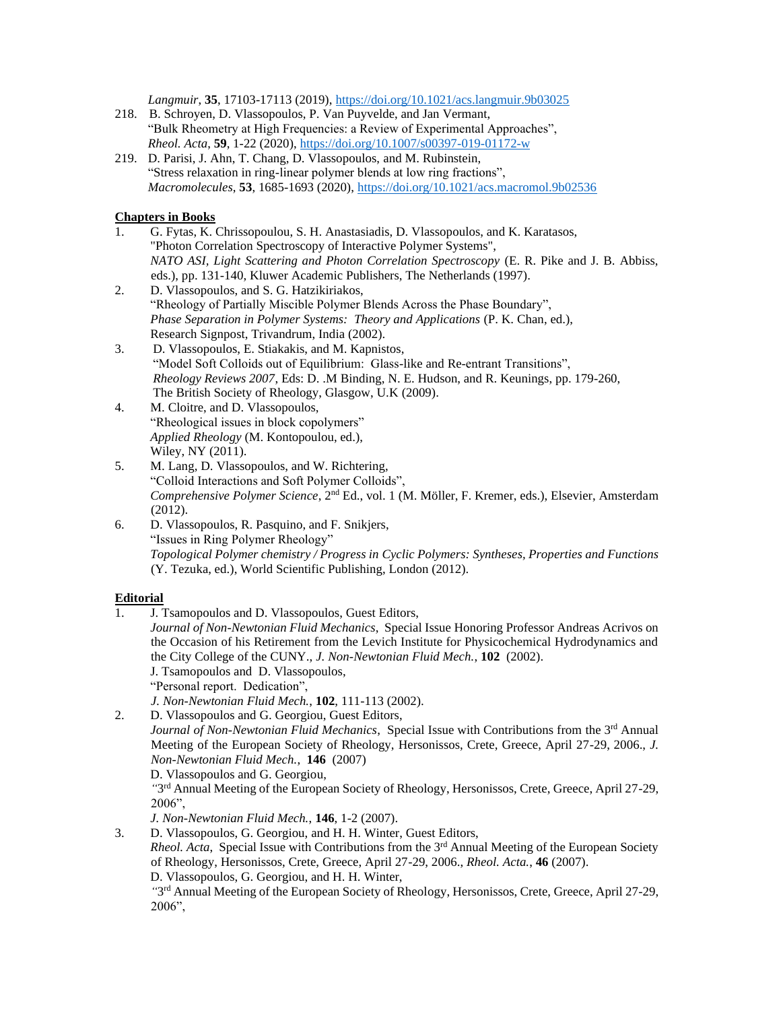*Langmuir*, **35**, 17103-17113 (2019),<https://doi.org/10.1021/acs.langmuir.9b03025>

- 218. B. Schroyen, D. Vlassopoulos, P. Van Puyvelde, and Jan Vermant, "Bulk Rheometry at High Frequencies: a Review of Experimental Approaches", *Rheol. Acta*, **59**, 1-22 (2020),<https://doi.org/10.1007/s00397-019-01172-w>
- 219. D. Parisi, J. Ahn, T. Chang, D. Vlassopoulos, and M. Rubinstein, "Stress relaxation in ring-linear polymer blends at low ring fractions", *Macromolecules*, **53**, 1685-1693 (2020),<https://doi.org/10.1021/acs.macromol.9b02536>

## **Chapters in Books**

- 1. G. Fytas, K. Chrissopoulou, S. H. Anastasiadis, D. Vlassopoulos, and K. Karatasos, "Photon Correlation Spectroscopy of Interactive Polymer Systems", *NATO ASI, Light Scattering and Photon Correlation Spectroscopy* (E. R. Pike and J. B. Abbiss, eds.), pp. 131-140, Kluwer Academic Publishers, The Netherlands (1997).
- 2. D. Vlassopoulos, and S. G. Hatzikiriakos, "Rheology of Partially Miscible Polymer Blends Across the Phase Boundary", *Phase Separation in Polymer Systems: Theory and Applications* (P. K. Chan, ed.), Research Signpost, Trivandrum, India (2002).
- 3. D. Vlassopoulos, E. Stiakakis, and M. Kapnistos, "Model Soft Colloids out of Equilibrium: Glass-like and Re-entrant Transitions", *Rheology Reviews 2007*, Eds: D. .M Binding, N. E. Hudson, and R. Keunings, pp. 179-260, The British Society of Rheology, Glasgow, U.K (2009).
- 4. M. Cloitre, and D. Vlassopoulos, "Rheological issues in block copolymers" *Applied Rheology* (M. Kontopoulou, ed.), Wiley, NY (2011).
- 5. M. Lang, D. Vlassopoulos, and W. Richtering, "Colloid Interactions and Soft Polymer Colloids", *Comprehensive Polymer Science*, 2nd Ed., vol. 1 (M. Möller, F. Kremer, eds.), Elsevier, Amsterdam (2012).
- 6. D. Vlassopoulos, R. Pasquino, and F. Snikjers, "Issues in Ring Polymer Rheology" *Topological Polymer chemistry / Progress in Cyclic Polymers: Syntheses, Properties and Functions* (Y. Tezuka, ed.), World Scientific Publishing, London (2012).

## **Editorial**

2006",

- 1. J. Tsamopoulos and D. Vlassopoulos, Guest Editors,
	- *Journal of Non-Newtonian Fluid Mechanics*, Special Issue Honoring Professor Andreas Acrivos on the Occasion of his Retirement from the Levich Institute for Physicochemical Hydrodynamics and the City College of the CUNY., *J. Non-Newtonian Fluid Mech.*, **102** (2002).
	- J. Tsamopoulos and D. Vlassopoulos,

"Personal report. Dedication",

*J. Non-Newtonian Fluid Mech.*, **102**, 111-113 (2002).

2. D. Vlassopoulos and G. Georgiou, Guest Editors,

*Journal of Non-Newtonian Fluid Mechanics*, Special Issue with Contributions from the 3rd Annual Meeting of the European Society of Rheology, Hersonissos, Crete, Greece, April 27-29, 2006., *J. Non-Newtonian Fluid Mech.*, **146** (2007)

D. Vlassopoulos and G. Georgiou,

"3<sup>rd</sup> Annual Meeting of the European Society of Rheology, Hersonissos, Crete, Greece, April 27-29, 2006",

*J. Non-Newtonian Fluid Mech.*, **146**, 1-2 (2007).

3. D. Vlassopoulos, G. Georgiou, and H. H. Winter, Guest Editors, *Rheol. Acta*, Special Issue with Contributions from the 3rd Annual Meeting of the European Society of Rheology, Hersonissos, Crete, Greece, April 27-29, 2006., *Rheol. Acta.*, **46** (2007). D. Vlassopoulos, G. Georgiou, and H. H. Winter, "3<sup>rd</sup> Annual Meeting of the European Society of Rheology, Hersonissos, Crete, Greece, April 27-29,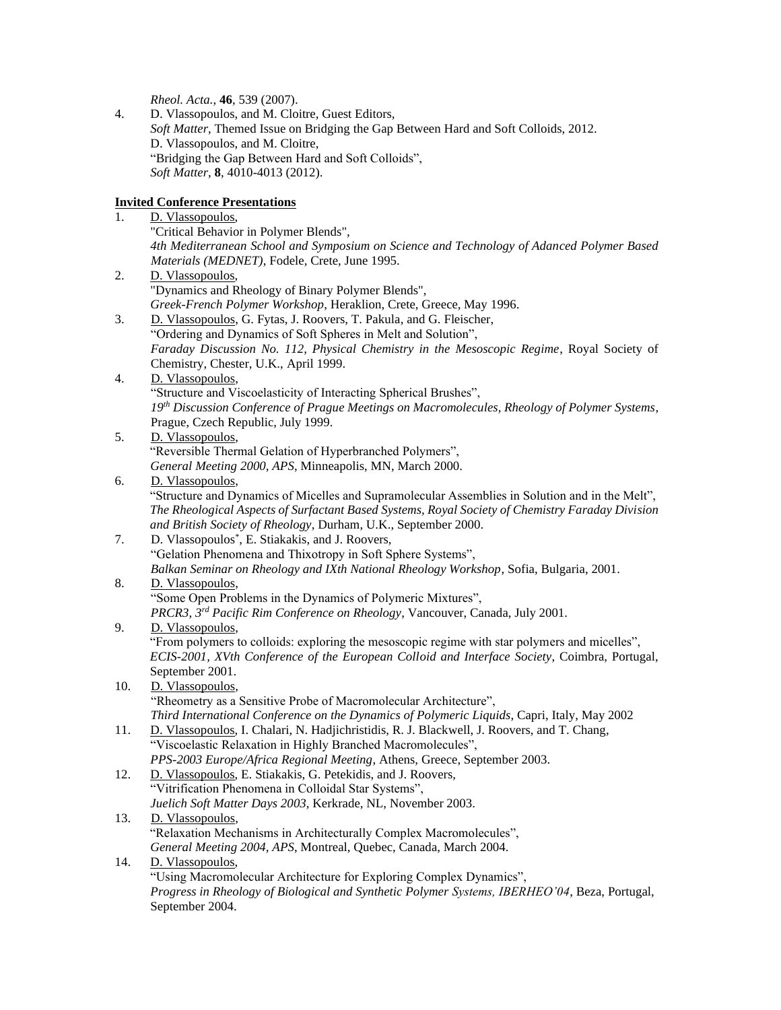*Rheol. Acta.*, **46**, 539 (2007).

4. D. Vlassopoulos, and M. Cloitre, Guest Editors, *Soft Matter*, Themed Issue on Bridging the Gap Between Hard and Soft Colloids, 2012. D. Vlassopoulos, and M. Cloitre, "Bridging the Gap Between Hard and Soft Colloids", *Soft Matter*, **8**, 4010-4013 (2012).

# **Invited Conference Presentations**

| 1.  | D. Vlassopoulos,                                                                                                     |
|-----|----------------------------------------------------------------------------------------------------------------------|
|     | "Critical Behavior in Polymer Blends",                                                                               |
|     | 4th Mediterranean School and Symposium on Science and Technology of Adanced Polymer Based                            |
|     | Materials (MEDNET), Fodele, Crete, June 1995.                                                                        |
| 2.  | D. Vlassopoulos,                                                                                                     |
|     | "Dynamics and Rheology of Binary Polymer Blends",                                                                    |
|     | Greek-French Polymer Workshop, Heraklion, Crete, Greece, May 1996.                                                   |
| 3.  | D. Vlassopoulos, G. Fytas, J. Roovers, T. Pakula, and G. Fleischer,                                                  |
|     | "Ordering and Dynamics of Soft Spheres in Melt and Solution",                                                        |
|     | Faraday Discussion No. 112, Physical Chemistry in the Mesoscopic Regime, Royal Society of                            |
|     | Chemistry, Chester, U.K., April 1999.                                                                                |
| 4.  | D. Vlassopoulos,                                                                                                     |
|     | "Structure and Viscoelasticity of Interacting Spherical Brushes",                                                    |
|     | 19th Discussion Conference of Prague Meetings on Macromolecules, Rheology of Polymer Systems,                        |
|     | Prague, Czech Republic, July 1999.                                                                                   |
| 5.  | D. Vlassopoulos,                                                                                                     |
|     | "Reversible Thermal Gelation of Hyperbranched Polymers",                                                             |
|     | General Meeting 2000, APS, Minneapolis, MN, March 2000.                                                              |
| 6.  | D. Vlassopoulos,                                                                                                     |
|     | "Structure and Dynamics of Micelles and Supramolecular Assemblies in Solution and in the Melt",                      |
|     | The Rheological Aspects of Surfactant Based Systems, Royal Society of Chemistry Faraday Division                     |
|     | and British Society of Rheology, Durham, U.K., September 2000.                                                       |
| 7.  | D. Vlassopoulos <sup>*</sup> , E. Stiakakis, and J. Roovers,                                                         |
|     | "Gelation Phenomena and Thixotropy in Soft Sphere Systems",                                                          |
|     | Balkan Seminar on Rheology and IXth National Rheology Workshop, Sofia, Bulgaria, 2001.                               |
| 8.  | D. Vlassopoulos,                                                                                                     |
|     | "Some Open Problems in the Dynamics of Polymeric Mixtures",                                                          |
|     | PRCR3, 3rd Pacific Rim Conference on Rheology, Vancouver, Canada, July 2001.                                         |
| 9.  | D. Vlassopoulos,                                                                                                     |
|     | "From polymers to colloids: exploring the mesoscopic regime with star polymers and micelles",                        |
|     | ECIS-2001, XVth Conference of the European Colloid and Interface Society, Coimbra, Portugal,                         |
|     | September 2001.                                                                                                      |
| 10. | D. Vlassopoulos,                                                                                                     |
|     | "Rheometry as a Sensitive Probe of Macromolecular Architecture",                                                     |
|     | Third International Conference on the Dynamics of Polymeric Liquids, Capri, Italy, May 2002                          |
| 11. | D. Vlassopoulos, I. Chalari, N. Hadjichristidis, R. J. Blackwell, J. Roovers, and T. Chang,                          |
|     | "Viscoelastic Relaxation in Highly Branched Macromolecules",                                                         |
|     | PPS-2003 Europe/Africa Regional Meeting, Athens, Greece, September 2003.                                             |
| 12. | D. Vlassopoulos, E. Stiakakis, G. Petekidis, and J. Roovers,<br>"Vitrification Phenomena in Colloidal Star Systems", |
|     | Juelich Soft Matter Days 2003, Kerkrade, NL, November 2003.                                                          |
|     | D. Vlassopoulos,                                                                                                     |
| 13. | "Relaxation Mechanisms in Architecturally Complex Macromolecules",                                                   |
|     | General Meeting 2004, APS, Montreal, Quebec, Canada, March 2004.                                                     |
| 14. | D. Vlassopoulos,                                                                                                     |
|     | "Using Macromolecular Architecture for Exploring Complex Dynamics",                                                  |
|     | Progress in Rheology of Biological and Synthetic Polymer Systems, IBERHEO'04, Beza, Portugal,                        |
|     | September 2004.                                                                                                      |
|     |                                                                                                                      |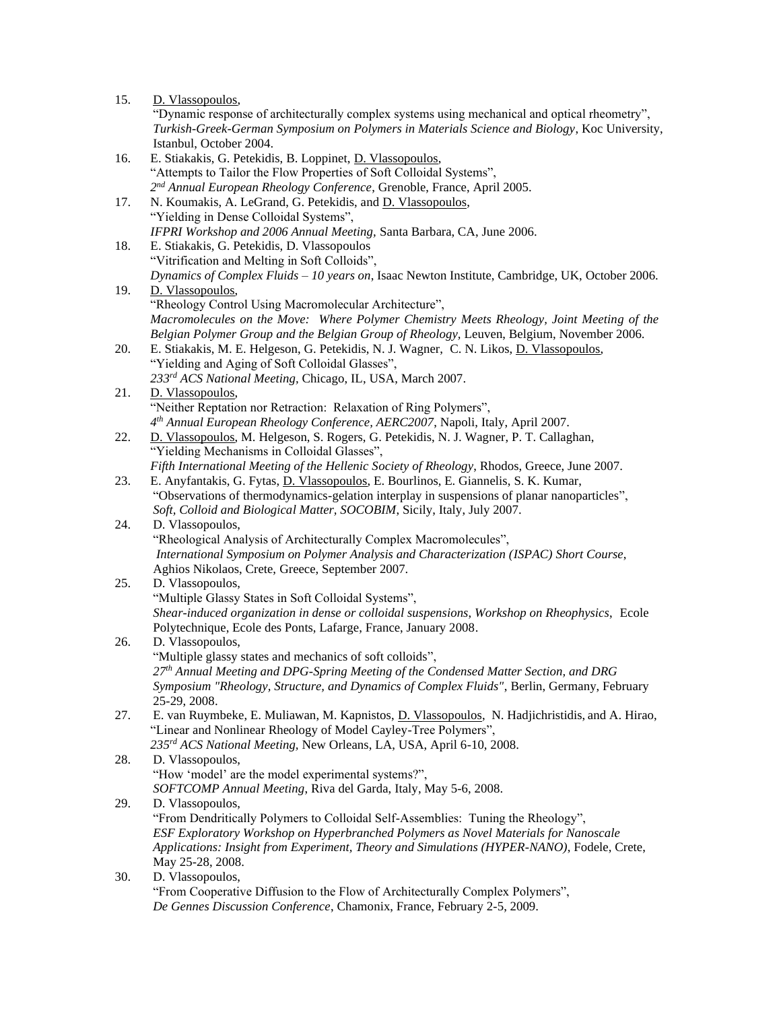| 15. | D. Vlassopoulos,                                                                                |
|-----|-------------------------------------------------------------------------------------------------|
|     | "Dynamic response of architecturally complex systems using mechanical and optical rheometry",   |
|     | Turkish-Greek-German Symposium on Polymers in Materials Science and Biology, Koc University,    |
|     | Istanbul, October 2004.                                                                         |
| 16. | E. Stiakakis, G. Petekidis, B. Loppinet, D. Vlassopoulos,                                       |
|     | "Attempts to Tailor the Flow Properties of Soft Colloidal Systems",                             |
|     | 2nd Annual European Rheology Conference, Grenoble, France, April 2005.                          |
| 17. | N. Koumakis, A. LeGrand, G. Petekidis, and D. Vlassopoulos,                                     |
|     | "Yielding in Dense Colloidal Systems",                                                          |
|     | IFPRI Workshop and 2006 Annual Meeting, Santa Barbara, CA, June 2006.                           |
| 18. | E. Stiakakis, G. Petekidis, D. Vlassopoulos                                                     |
|     | "Vitrification and Melting in Soft Colloids",                                                   |
|     | Dynamics of Complex Fluids - 10 years on, Isaac Newton Institute, Cambridge, UK, October 2006.  |
| 19. | D. Vlassopoulos,                                                                                |
|     | "Rheology Control Using Macromolecular Architecture",                                           |
|     | Macromolecules on the Move: Where Polymer Chemistry Meets Rheology, Joint Meeting of the        |
|     | Belgian Polymer Group and the Belgian Group of Rheology, Leuven, Belgium, November 2006.        |
| 20. | E. Stiakakis, M. E. Helgeson, G. Petekidis, N. J. Wagner, C. N. Likos, D. Vlassopoulos,         |
|     | "Yielding and Aging of Soft Colloidal Glasses",                                                 |
|     | 233rd ACS National Meeting, Chicago, IL, USA, March 2007.                                       |
| 21. | D. Vlassopoulos,                                                                                |
|     | "Neither Reptation nor Retraction: Relaxation of Ring Polymers",                                |
|     | $4th$ Annual European Rheology Conference, AERC2007, Napoli, Italy, April 2007.                 |
| 22. | D. Vlassopoulos, M. Helgeson, S. Rogers, G. Petekidis, N. J. Wagner, P. T. Callaghan,           |
|     | "Yielding Mechanisms in Colloidal Glasses",                                                     |
|     | Fifth International Meeting of the Hellenic Society of Rheology, Rhodos, Greece, June 2007.     |
| 23. | E. Anyfantakis, G. Fytas, D. Vlassopoulos, E. Bourlinos, E. Giannelis, S. K. Kumar,             |
|     | "Observations of thermodynamics-gelation interplay in suspensions of planar nanoparticles",     |
|     | Soft, Colloid and Biological Matter, SOCOBIM, Sicily, Italy, July 2007.                         |
| 24. | D. Vlassopoulos,                                                                                |
|     | "Rheological Analysis of Architecturally Complex Macromolecules",                               |
|     | International Symposium on Polymer Analysis and Characterization (ISPAC) Short Course,          |
|     | Aghios Nikolaos, Crete, Greece, September 2007.                                                 |
| 25. | D. Vlassopoulos,<br>"Multiple Glassy States in Soft Colloidal Systems",                         |
|     | Shear-induced organization in dense or colloidal suspensions, Workshop on Rheophysics, Ecole    |
|     | Polytechnique, Ecole des Ponts, Lafarge, France, January 2008.                                  |
| 26. | D. Vlassopoulos,                                                                                |
|     | "Multiple glassy states and mechanics of soft colloids",                                        |
|     | 27 <sup>th</sup> Annual Meeting and DPG-Spring Meeting of the Condensed Matter Section, and DRG |
|     | Symposium "Rheology, Structure, and Dynamics of Complex Fluids", Berlin, Germany, February      |
|     | 25-29, 2008.                                                                                    |
| 27. | E. van Ruymbeke, E. Muliawan, M. Kapnistos, D. Vlassopoulos, N. Hadjichristidis, and A. Hirao,  |
|     | "Linear and Nonlinear Rheology of Model Cayley-Tree Polymers",                                  |
|     | 235rd ACS National Meeting, New Orleans, LA, USA, April 6-10, 2008.                             |
| 28. | D. Vlassopoulos,                                                                                |
|     | "How 'model' are the model experimental systems?",                                              |
|     | SOFTCOMP Annual Meeting, Riva del Garda, Italy, May 5-6, 2008.                                  |
| 29. | D. Vlassopoulos,                                                                                |
|     | "From Dendritically Polymers to Colloidal Self-Assemblies: Tuning the Rheology",                |
|     | ESF Exploratory Workshop on Hyperbranched Polymers as Novel Materials for Nanoscale             |
|     | Applications: Insight from Experiment, Theory and Simulations (HYPER-NANO), Fodele, Crete,      |
|     | May 25-28, 2008.                                                                                |
| 30. | D. Vlassopoulos,                                                                                |
|     | "From Cooperative Diffusion to the Flow of Architecturally Complex Polymers",                   |
|     | De Gennes Discussion Conference, Chamonix, France, February 2-5, 2009.                          |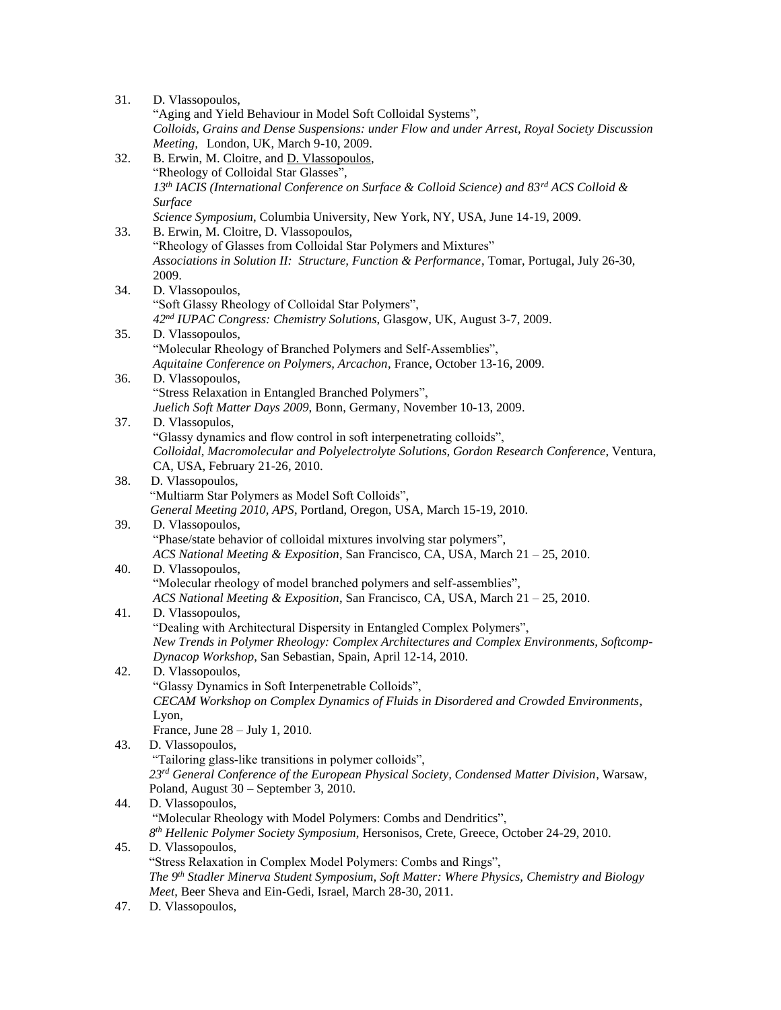| 31. | D. Vlassopoulos,                                                                                                  |
|-----|-------------------------------------------------------------------------------------------------------------------|
|     | "Aging and Yield Behaviour in Model Soft Colloidal Systems",                                                      |
|     | Colloids, Grains and Dense Suspensions: under Flow and under Arrest, Royal Society Discussion                     |
|     | Meeting, London, UK, March 9-10, 2009.                                                                            |
| 32. | B. Erwin, M. Cloitre, and D. Vlassopoulos,                                                                        |
|     | "Rheology of Colloidal Star Glasses",                                                                             |
|     | 13 <sup>th</sup> IACIS (International Conference on Surface & Colloid Science) and 83 <sup>rd</sup> ACS Colloid & |
|     |                                                                                                                   |
|     | Surface                                                                                                           |
|     | Science Symposium, Columbia University, New York, NY, USA, June 14-19, 2009.                                      |
| 33. | B. Erwin, M. Cloitre, D. Vlassopoulos,                                                                            |
|     | "Rheology of Glasses from Colloidal Star Polymers and Mixtures"                                                   |
|     | Associations in Solution II: Structure, Function & Performance, Tomar, Portugal, July 26-30,                      |
|     | 2009.                                                                                                             |
| 34. | D. Vlassopoulos,                                                                                                  |
|     | "Soft Glassy Rheology of Colloidal Star Polymers",                                                                |
|     | 42 <sup>nd</sup> IUPAC Congress: Chemistry Solutions, Glasgow, UK, August 3-7, 2009.                              |
| 35. | D. Vlassopoulos,                                                                                                  |
|     | "Molecular Rheology of Branched Polymers and Self-Assemblies",                                                    |
|     | Aquitaine Conference on Polymers, Arcachon, France, October 13-16, 2009.                                          |
| 36. | D. Vlassopoulos,                                                                                                  |
|     | "Stress Relaxation in Entangled Branched Polymers",                                                               |
|     | Juelich Soft Matter Days 2009, Bonn, Germany, November 10-13, 2009.                                               |
| 37. | D. Vlassopulos,                                                                                                   |
|     | "Glassy dynamics and flow control in soft interpenetrating colloids",                                             |
|     | Colloidal, Macromolecular and Polyelectrolyte Solutions, Gordon Research Conference, Ventura,                     |
|     | CA, USA, February 21-26, 2010.                                                                                    |
| 38. | D. Vlassopoulos,                                                                                                  |
|     | "Multiarm Star Polymers as Model Soft Colloids",                                                                  |
|     |                                                                                                                   |
|     | General Meeting 2010, APS, Portland, Oregon, USA, March 15-19, 2010.                                              |
| 39. | D. Vlassopoulos,                                                                                                  |
|     | "Phase/state behavior of colloidal mixtures involving star polymers",                                             |
|     | ACS National Meeting & Exposition, San Francisco, CA, USA, March 21 - 25, 2010.                                   |
| 40. | D. Vlassopoulos,                                                                                                  |
|     | "Molecular rheology of model branched polymers and self-assemblies",                                              |
|     | ACS National Meeting & Exposition, San Francisco, CA, USA, March 21 - 25, 2010.                                   |
| 41. | D. Vlassopoulos,                                                                                                  |
|     | "Dealing with Architectural Dispersity in Entangled Complex Polymers",                                            |
|     | New Trends in Polymer Rheology: Complex Architectures and Complex Environments, Softcomp-                         |
|     | Dynacop Workshop, San Sebastian, Spain, April 12-14, 2010.                                                        |
| 42. | D. Vlassopoulos,                                                                                                  |
|     | "Glassy Dynamics in Soft Interpenetrable Colloids",                                                               |
|     | CECAM Workshop on Complex Dynamics of Fluids in Disordered and Crowded Environments,                              |
|     | Lyon,                                                                                                             |
|     | France, June $28 -$ July 1, 2010.                                                                                 |
| 43. | D. Vlassopoulos,                                                                                                  |
|     | "Tailoring glass-like transitions in polymer colloids",                                                           |
|     | 23rd General Conference of the European Physical Society, Condensed Matter Division, Warsaw,                      |
|     | Poland, August 30 - September 3, 2010.                                                                            |
| 44. | D. Vlassopoulos,                                                                                                  |
|     | "Molecular Rheology with Model Polymers: Combs and Dendritics",                                                   |
|     |                                                                                                                   |
|     | 8 <sup>th</sup> Hellenic Polymer Society Symposium, Hersonisos, Crete, Greece, October 24-29, 2010.               |
| 45. | D. Vlassopoulos,                                                                                                  |
|     | "Stress Relaxation in Complex Model Polymers: Combs and Rings",                                                   |
|     | The 9 <sup>th</sup> Stadler Minerva Student Symposium, Soft Matter: Where Physics, Chemistry and Biology          |
|     | Meet, Beer Sheva and Ein-Gedi, Israel, March 28-30, 2011.                                                         |

47. D. Vlassopoulos,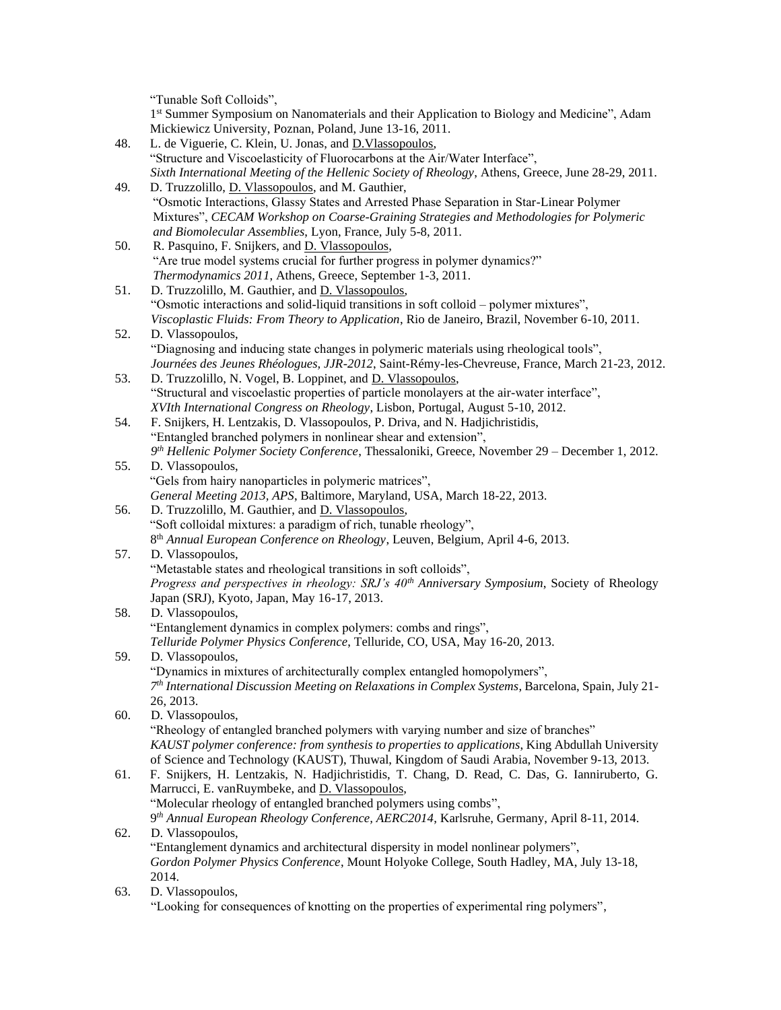"Tunable Soft Colloids",

1<sup>st</sup> Summer Symposium on Nanomaterials and their Application to Biology and Medicine", Adam Mickiewicz University, Poznan, Poland, June 13-16, 2011.

- 48. L. de Viguerie, C. Klein, U. Jonas, and D.Vlassopoulos, "Structure and Viscoelasticity of Fluorocarbons at the Air/Water Interface", *Sixth International Meeting of the Hellenic Society of Rheology*, Athens, Greece, June 28-29, 2011.
- 49*.* D. Truzzolillo, D. Vlassopoulos, and M. Gauthier, "Osmotic Interactions, Glassy States and Arrested Phase Separation in Star-Linear Polymer Mixtures", *CECAM Workshop on Coarse-Graining Strategies and Methodologies for Polymeric and Biomolecular Assemblies*, Lyon, France, July 5-8, 2011.
- 50. R. Pasquino, F. Snijkers, and D. Vlassopoulos, "Are true model systems crucial for further progress in polymer dynamics?" *Thermodynamics 2011*, Athens, Greece, September 1-3, 2011.
- 51. D. Truzzolillo, M. Gauthier, and D. Vlassopoulos, "Osmotic interactions and solid-liquid transitions in soft colloid – polymer mixtures", *Viscoplastic Fluids: From Theory to Application*, Rio de Janeiro, Brazil, November 6-10, 2011.
- 52. D. Vlassopoulos, "Diagnosing and inducing state changes in polymeric materials using rheological tools", *Journées des Jeunes Rhéologues, JJR-2012*, Saint-Rémy-les-Chevreuse, France, March 21-23, 2012.
- 53. D. Truzzolillo, N. Vogel, B. Loppinet, and D. Vlassopoulos, "Structural and viscoelastic properties of particle monolayers at the air-water interface", *XVIth International Congress on Rheology*, Lisbon, Portugal, August 5-10, 2012.
- 54. F. Snijkers, H. Lentzakis, D. Vlassopoulos, P. Driva, and N. Hadjichristidis, "Entangled branched polymers in nonlinear shear and extension", *9 th Hellenic Polymer Society Conference*, Thessaloniki, Greece, November 29 – December 1, 2012.
- 55. D. Vlassopoulos, "Gels from hairy nanoparticles in polymeric matrices", *General Meeting 2013, APS*, Baltimore, Maryland, USA, March 18-22, 2013.
- 56. D. Truzzolillo, M. Gauthier, and D. Vlassopoulos, "Soft colloidal mixtures: a paradigm of rich, tunable rheology", 8 th *Annual European Conference on Rheology*, Leuven, Belgium, April 4-6, 2013.
- 57. D. Vlassopoulos, "Metastable states and rheological transitions in soft colloids", *Progress and perspectives in rheology: SRJ's 40th Anniversary Symposium*, Society of Rheology Japan (SRJ), Kyoto, Japan, May 16-17, 2013.
- 58. D. Vlassopoulos, "Entanglement dynamics in complex polymers: combs and rings", *Telluride Polymer Physics Conference*, Telluride, CO, USA, May 16-20, 2013.
- 59. D. Vlassopoulos, "Dynamics in mixtures of architecturally complex entangled homopolymers", *7 th International Discussion Meeting on Relaxations in Complex Systems*, Barcelona, Spain, July 21- 26, 2013.
- 60. D. Vlassopoulos, "Rheology of entangled branched polymers with varying number and size of branches" *KAUST polymer conference: from synthesis to properties to applications*, King Abdullah University of Science and Technology (KAUST), Thuwal, Kingdom of Saudi Arabia, November 9-13, 2013.
- 61. F. Snijkers, H. Lentzakis, N. Hadjichristidis, T. Chang, D. Read, C. Das, G. Ianniruberto, G. Marrucci, E. vanRuymbeke, and D. Vlassopoulos, "Molecular rheology of entangled branched polymers using combs", 9 *th Annual European Rheology Conference, AERC2014*, Karlsruhe, Germany, April 8-11, 2014. 62. D. Vlassopoulos,
- "Entanglement dynamics and architectural dispersity in model nonlinear polymers", *Gordon Polymer Physics Conference*, Mount Holyoke College, South Hadley, MA, July 13-18, 2014.
- 63. D. Vlassopoulos,

"Looking for consequences of knotting on the properties of experimental ring polymers",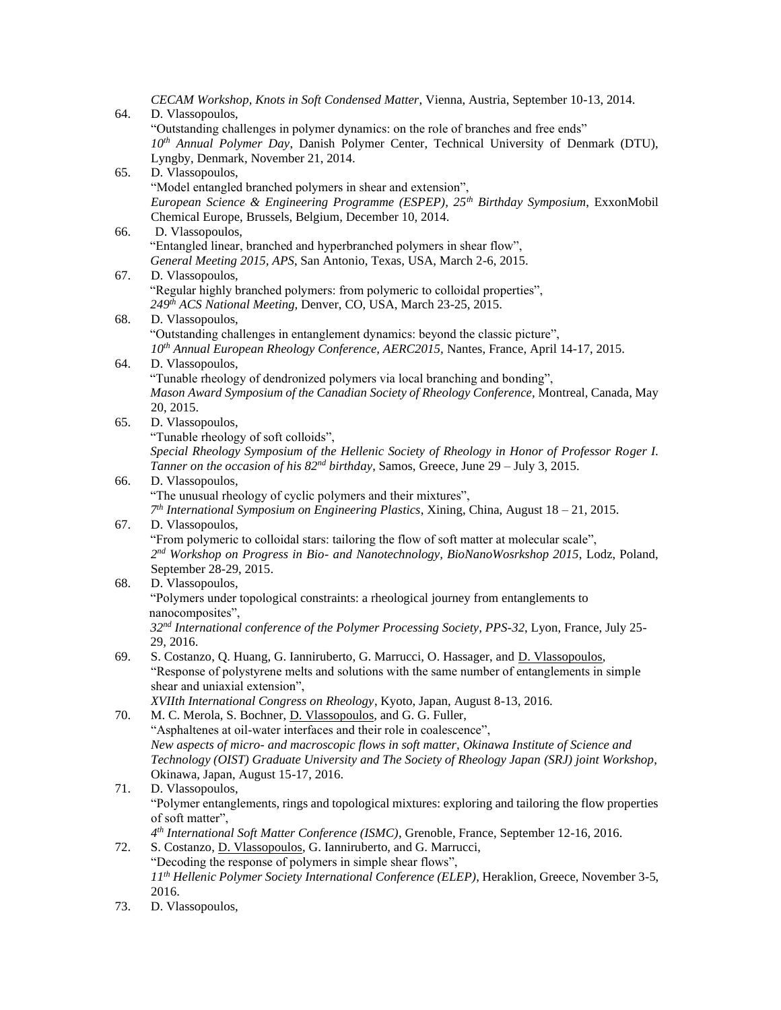*CECAM Workshop, Knots in Soft Condensed Matter*, Vienna, Austria, September 10-13, 2014. 64. D. Vlassopoulos, "Outstanding challenges in polymer dynamics: on the role of branches and free ends" *10th Annual Polymer Day*, Danish Polymer Center, Technical University of Denmark (DTU), Lyngby, Denmark, November 21, 2014. 65. D. Vlassopoulos, "Model entangled branched polymers in shear and extension", *European Science & Engineering Programme (ESPEP), 25th Birthday Symposium*, ExxonMobil Chemical Europe, Brussels, Belgium, December 10, 2014. 66. D. Vlassopoulos, "Entangled linear, branched and hyperbranched polymers in shear flow", *General Meeting 2015, APS*, San Antonio, Texas, USA, March 2-6, 2015. 67. D. Vlassopoulos, "Regular highly branched polymers: from polymeric to colloidal properties", *249th ACS National Meeting,* Denver, CO, USA, March 23-25, 2015. 68. D. Vlassopoulos, "Outstanding challenges in entanglement dynamics: beyond the classic picture", *10th Annual European Rheology Conference, AERC2015,* Nantes, France, April 14-17, 2015. 64. D. Vlassopoulos, "Tunable rheology of dendronized polymers via local branching and bonding", *Mason Award Symposium of the Canadian Society of Rheology Conference,* Montreal, Canada, May 20, 2015. 65. D. Vlassopoulos, "Tunable rheology of soft colloids", *Special Rheology Symposium of the Hellenic Society of Rheology in Honor of Professor Roger I. Tanner on the occasion of his 82nd birthday*, Samos, Greece, June 29 – July 3, 2015. 66. D. Vlassopoulos, "The unusual rheology of cyclic polymers and their mixtures", *7 th International Symposium on Engineering Plastics*, Xining, China, August 18 – 21, 2015. 67. D. Vlassopoulos, "From polymeric to colloidal stars: tailoring the flow of soft matter at molecular scale", *2 nd Workshop on Progress in Bio- and Nanotechnology, BioNanoWosrkshop 2015*, Lodz, Poland, September 28-29, 2015. 68. D. Vlassopoulos, "Polymers under topological constraints: a rheological journey from entanglements to nanocomposites", *32nd International conference of the Polymer Processing Society, PPS-32*, Lyon, France, July 25- 29, 2016. 69. S. Costanzo, Q. Huang, G. Ianniruberto, G. Marrucci, O. Hassager, and D. Vlassopoulos, "Response of polystyrene melts and solutions with the same number of entanglements in simple shear and uniaxial extension", *XVIIth International Congress on Rheology*, Kyoto, Japan, August 8-13, 2016. 70. M. C. Merola, S. Bochner, D. Vlassopoulos, and G. G. Fuller, "Asphaltenes at oil-water interfaces and their role in coalescence", *New aspects of micro- and macroscopic flows in soft matter, Okinawa Institute of Science and Technology (OIST) Graduate University and The Society of Rheology Japan (SRJ) joint Workshop*, Okinawa, Japan, August 15-17, 2016. 71. D. Vlassopoulos, "Polymer entanglements, rings and topological mixtures: exploring and tailoring the flow properties of soft matter", *4 th International Soft Matter Conference (ISMC)*, Grenoble, France, September 12-16, 2016. 72. S. Costanzo, D. Vlassopoulos, G. Ianniruberto, and G. Marrucci, "Decoding the response of polymers in simple shear flows", *11th Hellenic Polymer Society International Conference (ELEP)*, Heraklion, Greece, November 3-5, 2016. 73. D. Vlassopoulos,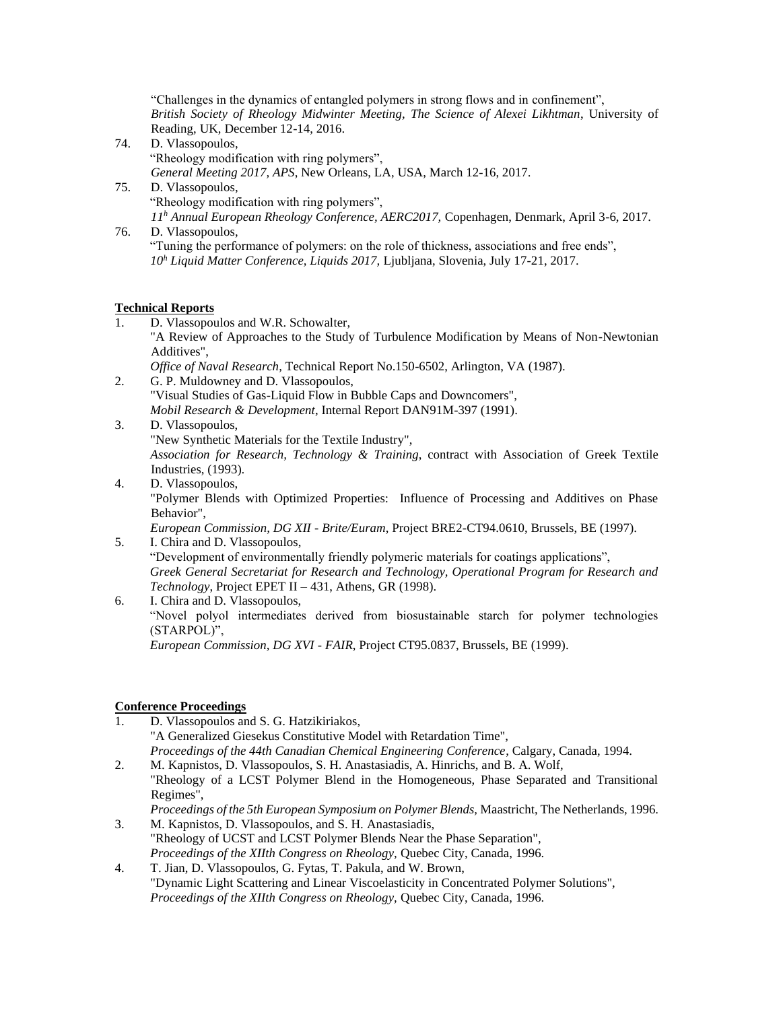"Challenges in the dynamics of entangled polymers in strong flows and in confinement", *British Society of Rheology Midwinter Meeting, The Science of Alexei Likhtman*, University of Reading, UK, December 12-14, 2016.

- 74. D. Vlassopoulos, "Rheology modification with ring polymers", *General Meeting 2017, APS*, New Orleans, LA, USA, March 12-16, 2017.
- 75. D. Vlassopoulos, "Rheology modification with ring polymers", *11<sup>h</sup> Annual European Rheology Conference, AERC2017,* Copenhagen, Denmark, April 3-6, 2017.
- 76. D. Vlassopoulos, "Tuning the performance of polymers: on the role of thickness, associations and free ends", *10<sup>h</sup> Liquid Matter Conference, Liquids 2017,* Ljubljana, Slovenia, July 17-21, 2017.

## **Technical Reports**

- 1. D. Vlassopoulos and W.R. Schowalter, "A Review of Approaches to the Study of Turbulence Modification by Means of Non-Newtonian Additives", *Office of Naval Research,* Technical Report No.150-6502, Arlington, VA (1987).
- 2. G. P. Muldowney and D. Vlassopoulos, "Visual Studies of Gas-Liquid Flow in Bubble Caps and Downcomers", *Mobil Research & Development*, Internal Report DAN91M-397 (1991).
- 3. D. Vlassopoulos, "New Synthetic Materials for the Textile Industry", *Association for Research, Technology & Training*, contract with Association of Greek Textile Industries, (1993).
- 4. D. Vlassopoulos, "Polymer Blends with Optimized Properties: Influence of Processing and Additives on Phase Behavior", *European Commission, DG XII - Brite/Euram*, Project BRE2-CT94.0610, Brussels, BE (1997).
- 5. I. Chira and D. Vlassopoulos, "Development of environmentally friendly polymeric materials for coatings applications", *Greek General Secretariat for Research and Technology, Operational Program for Research and Technology*, Project EPET II – 431, Athens, GR (1998).
- 6. I. Chira and D. Vlassopoulos, "Novel polyol intermediates derived from biosustainable starch for polymer technologies (STARPOL)", *European Commission, DG XVI - FAIR*, Project CT95.0837, Brussels, BE (1999).

### **Conference Proceedings**

- 1. D. Vlassopoulos and S. G. Hatzikiriakos, "A Generalized Giesekus Constitutive Model with Retardation Time", *Proceedings of the 44th Canadian Chemical Engineering Conference*, Calgary, Canada, 1994.
- 2. M. Kapnistos, D. Vlassopoulos, S. H. Anastasiadis, A. Hinrichs, and B. A. Wolf, "Rheology of a LCST Polymer Blend in the Homogeneous, Phase Separated and Transitional Regimes",
- *Proceedings of the 5th European Symposium on Polymer Blends,* Maastricht, The Netherlands, 1996. 3. M. Kapnistos, D. Vlassopoulos, and S. H. Anastasiadis,
- "Rheology of UCST and LCST Polymer Blends Near the Phase Separation", *Proceedings of the XIIth Congress on Rheology,* Quebec City, Canada, 1996.
- 4. T. Jian, D. Vlassopoulos, G. Fytas, T. Pakula, and W. Brown, "Dynamic Light Scattering and Linear Viscoelasticity in Concentrated Polymer Solutions", *Proceedings of the XIIth Congress on Rheology,* Quebec City, Canada, 1996.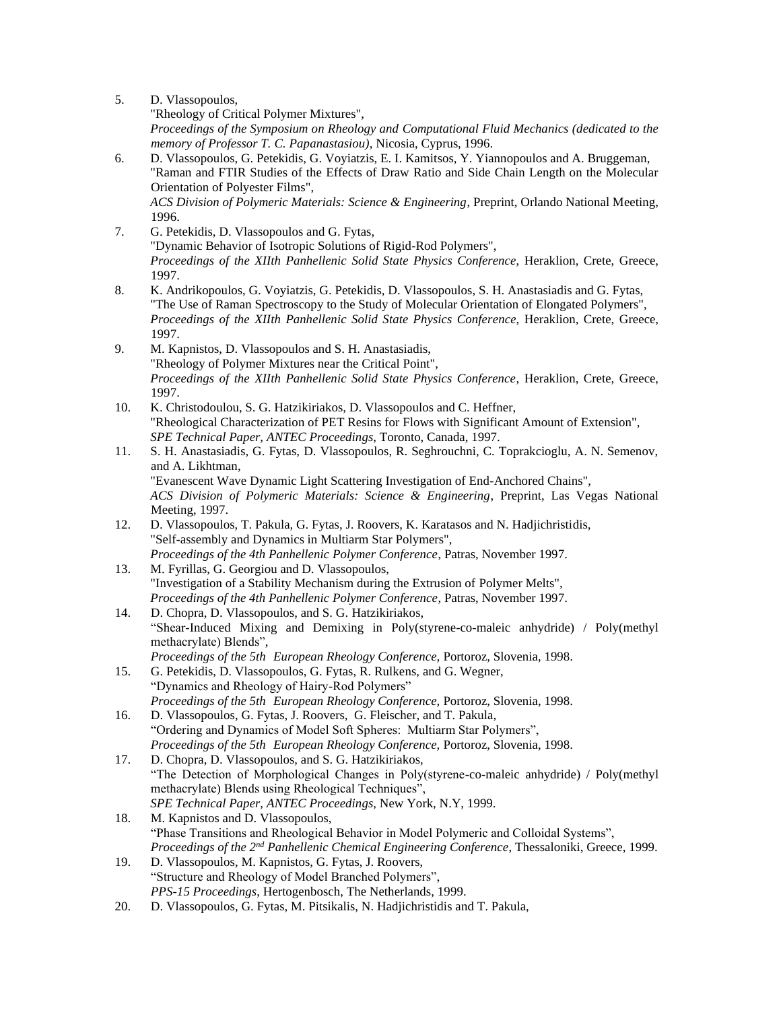- 5. D. Vlassopoulos, "Rheology of Critical Polymer Mixtures", *Proceedings of the Symposium on Rheology and Computational Fluid Mechanics (dedicated to the memory of Professor T. C. Papanastasiou)*, Nicosia, Cyprus, 1996.
- 6. D. Vlassopoulos, G. Petekidis, G. Voyiatzis, E. I. Kamitsos, Y. Yiannopoulos and A. Bruggeman, "Raman and FTIR Studies of the Effects of Draw Ratio and Side Chain Length on the Molecular Orientation of Polyester Films", *ACS Division of Polymeric Materials: Science & Engineering*, Preprint, Orlando National Meeting, 1996.
- 7. G. Petekidis, D. Vlassopoulos and G. Fytas, "Dynamic Behavior of Isotropic Solutions of Rigid-Rod Polymers", *Proceedings of the XIIth Panhellenic Solid State Physics Conference*, Heraklion, Crete, Greece, 1997.
- 8. K. Andrikopoulos, G. Voyiatzis, G. Petekidis, D. Vlassopoulos, S. H. Anastasiadis and G. Fytas, "The Use of Raman Spectroscopy to the Study of Molecular Orientation of Elongated Polymers", *Proceedings of the XIIth Panhellenic Solid State Physics Conference*, Heraklion, Crete, Greece, 1997.
- 9. M. Kapnistos, D. Vlassopoulos and S. H. Anastasiadis, "Rheology of Polymer Mixtures near the Critical Point", *Proceedings of the XIIth Panhellenic Solid State Physics Conference*, Heraklion, Crete, Greece, 1997.
- 10. K. Christodoulou, S. G. Hatzikiriakos, D. Vlassopoulos and C. Heffner, "Rheological Characterization of PET Resins for Flows with Significant Amount of Extension", *SPE Technical Paper, ANTEC Proceedings*, Toronto, Canada, 1997.
- 11. S. H. Anastasiadis, G. Fytas, D. Vlassopoulos, R. Seghrouchni, C. Toprakcioglu, A. N. Semenov, and A. Likhtman, "Evanescent Wave Dynamic Light Scattering Investigation of End-Anchored Chains", *ACS Division of Polymeric Materials: Science & Engineering*, Preprint, Las Vegas National Meeting, 1997.
- 12. D. Vlassopoulos, T. Pakula, G. Fytas, J. Roovers, K. Karatasos and N. Hadjichristidis, "Self-assembly and Dynamics in Multiarm Star Polymers", *Proceedings of the 4th Panhellenic Polymer Conference*, Patras, November 1997.
- 13. M. Fyrillas, G. Georgiou and D. Vlassopoulos, "Investigation of a Stability Mechanism during the Extrusion of Polymer Melts", *Proceedings of the 4th Panhellenic Polymer Conference*, Patras, November 1997.
- 14. D. Chopra, D. Vlassopoulos, and S. G. Hatzikiriakos, "Shear-Induced Mixing and Demixing in Poly(styrene-co-maleic anhydride) / Poly(methyl methacrylate) Blends", *Proceedings of the 5th European Rheology Conference,* Portoroz, Slovenia, 1998.
- 15. G. Petekidis, D. Vlassopoulos, G. Fytas, R. Rulkens, and G. Wegner, "Dynamics and Rheology of Hairy-Rod Polymers" *Proceedings of the 5th European Rheology Conference,* Portoroz, Slovenia, 1998.
- 16. D. Vlassopoulos, G. Fytas, J. Roovers, G. Fleischer, and T. Pakula, "Ordering and Dynamics of Model Soft Spheres: Multiarm Star Polymers", *Proceedings of the 5th European Rheology Conference,* Portoroz, Slovenia, 1998.
- 17. D. Chopra, D. Vlassopoulos, and S. G. Hatzikiriakos, "The Detection of Morphological Changes in Poly(styrene-co-maleic anhydride) / Poly(methyl methacrylate) Blends using Rheological Techniques", *SPE Technical Paper, ANTEC Proceedings*, New York, N.Y, 1999.
- 18. M. Kapnistos and D. Vlassopoulos, "Phase Transitions and Rheological Behavior in Model Polymeric and Colloidal Systems", *Proceedings of the 2nd Panhellenic Chemical Engineering Conference*, Thessaloniki, Greece, 1999.
- 19. D. Vlassopoulos, M. Kapnistos, G. Fytas, J. Roovers, "Structure and Rheology of Model Branched Polymers", *PPS-15 Proceedings*, Hertogenbosch, The Netherlands, 1999.
- 20. D. Vlassopoulos, G. Fytas, M. Pitsikalis, N. Hadjichristidis and T. Pakula,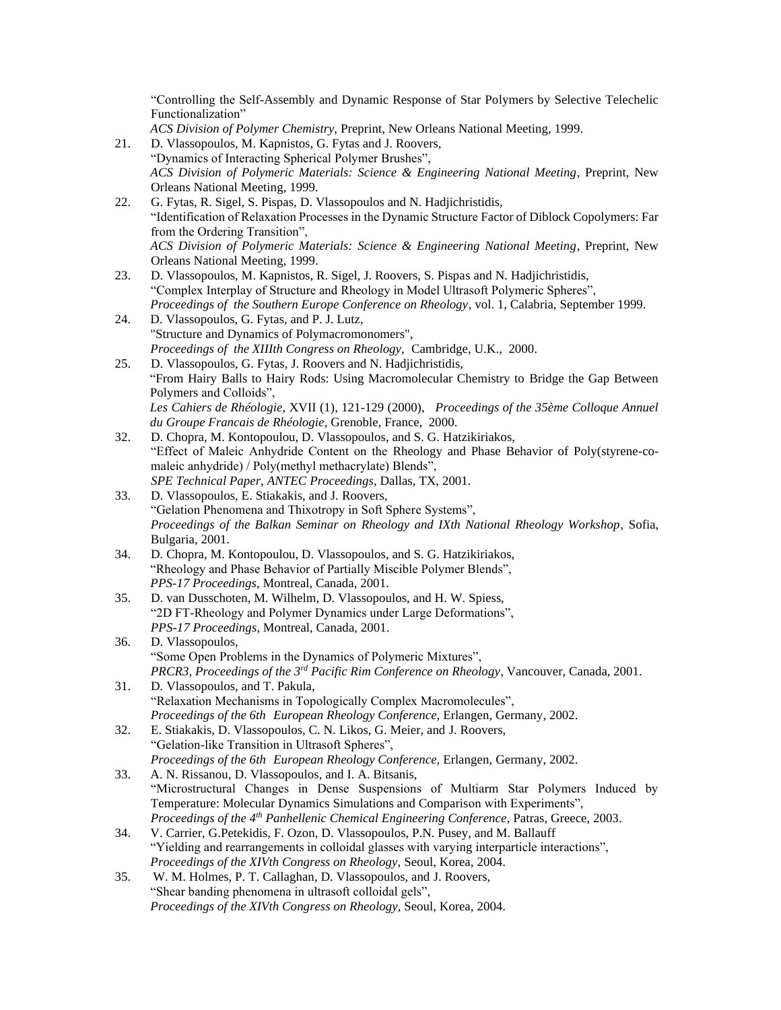"Controlling the Self-Assembly and Dynamic Response of Star Polymers by Selective Telechelic Functionalization"

- *ACS Division of Polymer Chemistry,* Preprint, New Orleans National Meeting, 1999.
- 21. D. Vlassopoulos, M. Kapnistos, G. Fytas and J. Roovers, "Dynamics of Interacting Spherical Polymer Brushes", *ACS Division of Polymeric Materials: Science & Engineering National Meeting*, Preprint, New Orleans National Meeting, 1999.
- 22. G. Fytas, R. Sigel, S. Pispas, D. Vlassopoulos and N. Hadjichristidis, "Identification of Relaxation Processes in the Dynamic Structure Factor of Diblock Copolymers: Far from the Ordering Transition", *ACS Division of Polymeric Materials: Science & Engineering National Meeting*, Preprint, New Orleans National Meeting, 1999.
- 23. D. Vlassopoulos, M. Kapnistos, R. Sigel, J. Roovers, S. Pispas and N. Hadjichristidis, "Complex Interplay of Structure and Rheology in Model Ultrasoft Polymeric Spheres", *Proceedings of the Southern Europe Conference on Rheology*, vol. 1, Calabria, September 1999.
- 24. D. Vlassopoulos, G. Fytas, and P. J. Lutz, "Structure and Dynamics of Polymacromonomers", *Proceedings of the XIIIth Congress on Rheology,* Cambridge, U.K., 2000.
- 25. D. Vlassopoulos, G. Fytas, J. Roovers and N. Hadjichristidis, "From Hairy Balls to Hairy Rods: Using Macromolecular Chemistry to Bridge the Gap Between Polymers and Colloids", *Les Cahiers de Rhéologie,* XVII (1), 121-129 (2000), *Proceedings of the 35ème Colloque Annuel du Groupe Francais de Rhéologie*, Grenoble, France, 2000.
- 32. D. Chopra, M. Kontopoulou, D. Vlassopoulos, and S. G. Hatzikiriakos, "Effect of Maleic Anhydride Content on the Rheology and Phase Behavior of Poly(styrene-comaleic anhydride) / Poly(methyl methacrylate) Blends", *SPE Technical Paper, ANTEC Proceedings*, Dallas, TX, 2001.
- 33. D. Vlassopoulos, E. Stiakakis, and J. Roovers, "Gelation Phenomena and Thixotropy in Soft Sphere Systems", *Proceedings of the Balkan Seminar on Rheology and IXth National Rheology Workshop*, Sofia, Bulgaria, 2001.
- 34. D. Chopra, M. Kontopoulou, D. Vlassopoulos, and S. G. Hatzikiriakos, "Rheology and Phase Behavior of Partially Miscible Polymer Blends", *PPS-17 Proceedings*, Montreal, Canada, 2001.
- 35. D. van Dusschoten, M. Wilhelm, D. Vlassopoulos, and H. W. Spiess, "2D FT-Rheology and Polymer Dynamics under Large Deformations", *PPS-17 Proceedings*, Montreal, Canada, 2001.
- 36. D. Vlassopoulos, "Some Open Problems in the Dynamics of Polymeric Mixtures", *PRCR3, Proceedings of the 3rd Pacific Rim Conference on Rheology*, Vancouver, Canada, 2001.
- 31. D. Vlassopoulos, and T. Pakula, "Relaxation Mechanisms in Topologically Complex Macromolecules", *Proceedings of the 6th European Rheology Conference,* Erlangen, Germany, 2002.
- 32. E. Stiakakis, D. Vlassopoulos, C. N. Likos, G. Meier, and J. Roovers, "Gelation-like Transition in Ultrasoft Spheres", *Proceedings of the 6th European Rheology Conference,* Erlangen, Germany, 2002.
- 33. A. N. Rissanou, D. Vlassopoulos, and I. A. Bitsanis, "Microstructural Changes in Dense Suspensions of Multiarm Star Polymers Induced by Temperature: Molecular Dynamics Simulations and Comparison with Experiments", *Proceedings of the 4th Panhellenic Chemical Engineering Conference*, Patras, Greece, 2003.
- 34. V. Carrier, G.Petekidis, F. Ozon, D. Vlassopoulos, P.N. Pusey, and M. Ballauff "Yielding and rearrangements in colloidal glasses with varying interparticle interactions", *Proceedings of the XIVth Congress on Rheology,* Seoul, Korea, 2004.
- 35. W. M. Holmes, P. T. Callaghan, D. Vlassopoulos, and J. Roovers, "Shear banding phenomena in ultrasoft colloidal gels", *Proceedings of the XIVth Congress on Rheology,* Seoul, Korea, 2004.